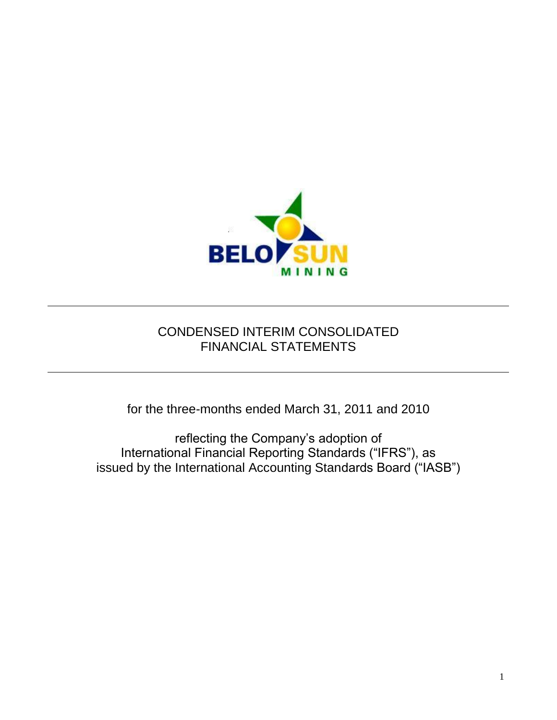

# CONDENSED INTERIM CONSOLIDATED FINANCIAL STATEMENTS

for the three-months ended March 31, 2011 and 2010

reflecting the Company"s adoption of International Financial Reporting Standards ("IFRS"), as issued by the International Accounting Standards Board ("IASB")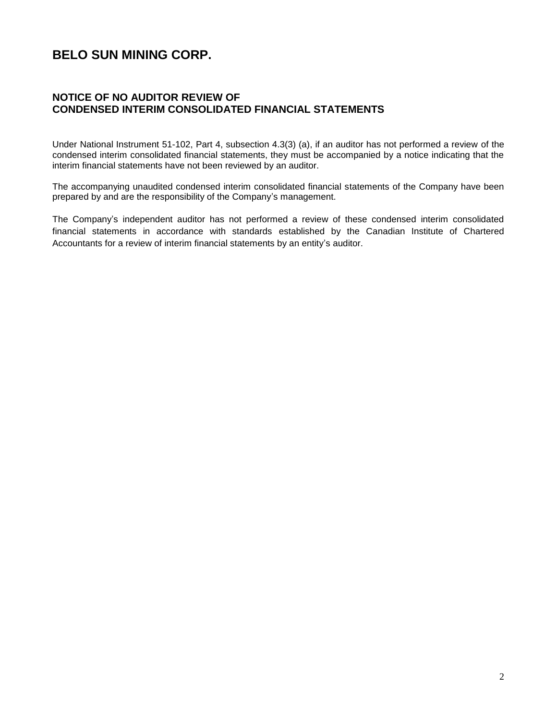# **BELO SUN MINING CORP.**

### **NOTICE OF NO AUDITOR REVIEW OF CONDENSED INTERIM CONSOLIDATED FINANCIAL STATEMENTS**

Under National Instrument 51-102, Part 4, subsection 4.3(3) (a), if an auditor has not performed a review of the condensed interim consolidated financial statements, they must be accompanied by a notice indicating that the interim financial statements have not been reviewed by an auditor.

The accompanying unaudited condensed interim consolidated financial statements of the Company have been prepared by and are the responsibility of the Company"s management.

The Company's independent auditor has not performed a review of these condensed interim consolidated financial statements in accordance with standards established by the Canadian Institute of Chartered Accountants for a review of interim financial statements by an entity's auditor.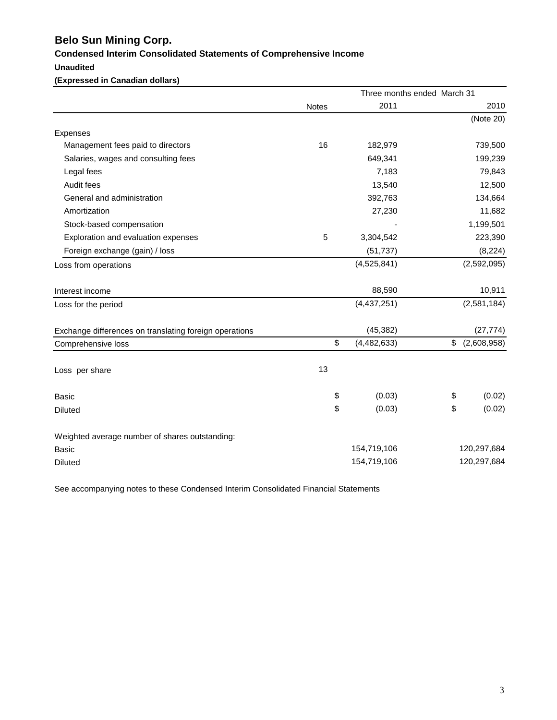### **Condensed Interim Consolidated Statements of Comprehensive Income**

**Unaudited**

**(Expressed in Canadian dollars)**

|                                                        |              | Three months ended March 31 |                   |  |  |
|--------------------------------------------------------|--------------|-----------------------------|-------------------|--|--|
|                                                        | <b>Notes</b> | 2011                        | 2010              |  |  |
|                                                        |              |                             | (Note 20)         |  |  |
| Expenses                                               |              |                             |                   |  |  |
| Management fees paid to directors                      | 16           | 182,979                     | 739,500           |  |  |
| Salaries, wages and consulting fees                    |              | 649,341                     | 199,239           |  |  |
| Legal fees                                             |              | 7,183                       | 79,843            |  |  |
| Audit fees                                             |              | 13,540                      | 12,500            |  |  |
| General and administration                             |              | 392,763                     | 134,664           |  |  |
| Amortization                                           |              | 27,230                      | 11,682            |  |  |
| Stock-based compensation                               |              |                             | 1,199,501         |  |  |
| Exploration and evaluation expenses                    | 5            | 3,304,542                   | 223,390           |  |  |
| Foreign exchange (gain) / loss                         |              | (51, 737)                   | (8, 224)          |  |  |
| Loss from operations                                   |              | (4,525,841)                 | (2,592,095)       |  |  |
| Interest income                                        |              | 88,590                      | 10,911            |  |  |
| Loss for the period                                    |              | (4,437,251)                 | (2,581,184)       |  |  |
| Exchange differences on translating foreign operations |              | (45, 382)                   | (27, 774)         |  |  |
| Comprehensive loss                                     | \$           | (4, 482, 633)               | \$<br>(2,608,958) |  |  |
| Loss per share                                         | 13           |                             |                   |  |  |
| <b>Basic</b>                                           | \$           | (0.03)                      | (0.02)<br>\$      |  |  |
| Diluted                                                | \$           | (0.03)                      | \$<br>(0.02)      |  |  |
| Weighted average number of shares outstanding:         |              |                             |                   |  |  |
| <b>Basic</b>                                           |              | 154,719,106                 | 120,297,684       |  |  |
| <b>Diluted</b>                                         |              | 154,719,106                 | 120,297,684       |  |  |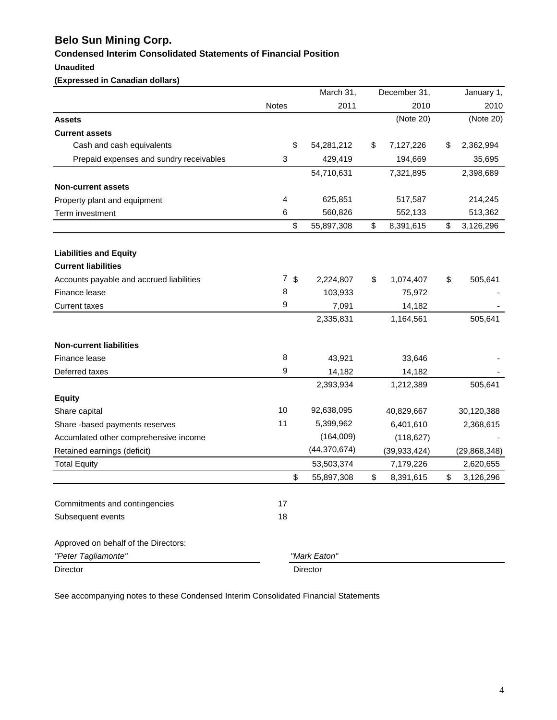### **Condensed Interim Consolidated Statements of Financial Position**

**Unaudited**

**(Expressed in Canadian dollars)**

|                                          |              | March 31,      | December 31,    | January 1,      |
|------------------------------------------|--------------|----------------|-----------------|-----------------|
|                                          | <b>Notes</b> | 2011           | 2010            | 2010            |
| <b>Assets</b>                            |              |                | (Note 20)       | (Note 20)       |
| <b>Current assets</b>                    |              |                |                 |                 |
| Cash and cash equivalents                | \$           | 54,281,212     | \$<br>7,127,226 | \$<br>2,362,994 |
| Prepaid expenses and sundry receivables  | 3            | 429,419        | 194,669         | 35,695          |
|                                          |              | 54,710,631     | 7,321,895       | 2,398,689       |
| <b>Non-current assets</b>                |              |                |                 |                 |
| Property plant and equipment             | 4            | 625,851        | 517,587         | 214,245         |
| Term investment                          | 6            | 560,826        | 552,133         | 513,362         |
|                                          | \$           | 55,897,308     | \$<br>8,391,615 | \$<br>3,126,296 |
|                                          |              |                |                 |                 |
| <b>Liabilities and Equity</b>            |              |                |                 |                 |
| <b>Current liabilities</b>               |              |                |                 |                 |
| Accounts payable and accrued liabilities | 7\$          | 2,224,807      | \$<br>1,074,407 | \$<br>505,641   |
| Finance lease                            | 8            | 103,933        | 75,972          |                 |
| <b>Current taxes</b>                     | 9            | 7,091          | 14,182          |                 |
|                                          |              | 2,335,831      | 1,164,561       | 505,641         |
| <b>Non-current liabilities</b>           |              |                |                 |                 |
| Finance lease                            | 8            | 43,921         | 33,646          |                 |
| Deferred taxes                           | 9            | 14,182         | 14,182          |                 |
|                                          |              | 2,393,934      | 1,212,389       | 505,641         |
| <b>Equity</b>                            |              |                |                 |                 |
| Share capital                            | 10           | 92,638,095     | 40,829,667      | 30,120,388      |
| Share -based payments reserves           | 11           | 5,399,962      | 6,401,610       | 2,368,615       |
| Accumlated other comprehensive income    |              | (164,009)      | (118, 627)      |                 |
| Retained earnings (deficit)              |              | (44, 370, 674) | (39, 933, 424)  | (29, 868, 348)  |
| <b>Total Equity</b>                      |              | 53,503,374     | 7,179,226       | 2,620,655       |
|                                          | \$           | 55,897,308     | \$<br>8,391,615 | \$<br>3,126,296 |
| Commitments and contingencies            | 17           |                |                 |                 |
| Subsequent events                        | 18           |                |                 |                 |
|                                          |              |                |                 |                 |
| Approved on behalf of the Directors:     |              |                |                 |                 |
| "Peter Tagliamonte"                      |              | "Mark Eaton"   |                 |                 |
| Director                                 |              | Director       |                 |                 |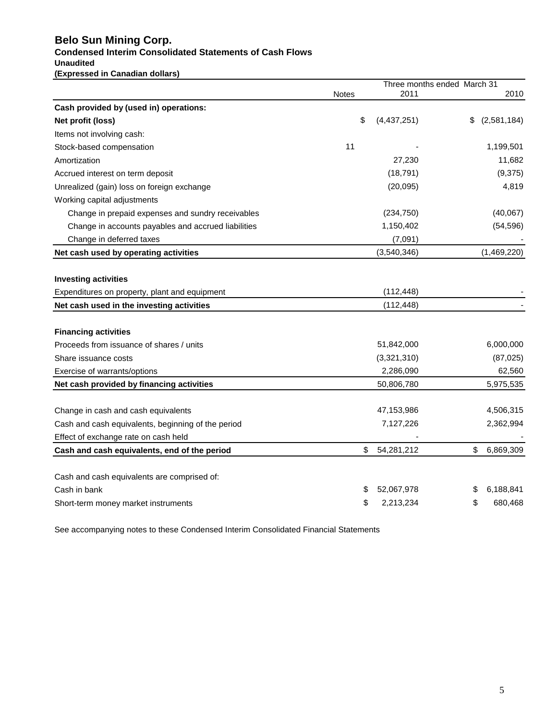#### **Condensed Interim Consolidated Statements of Cash Flows**

**Unaudited**

**(Expressed in Canadian dollars)**

|                                                     |       |             | Three months ended March 31 |  |  |
|-----------------------------------------------------|-------|-------------|-----------------------------|--|--|
|                                                     | Notes | 2011        | 2010                        |  |  |
| Cash provided by (used in) operations:              |       |             |                             |  |  |
| Net profit (loss)                                   | \$    | (4,437,251) | \$<br>(2,581,184)           |  |  |
| Items not involving cash:                           |       |             |                             |  |  |
| Stock-based compensation                            | 11    |             | 1,199,501                   |  |  |
| Amortization                                        |       | 27,230      | 11,682                      |  |  |
| Accrued interest on term deposit                    |       | (18, 791)   | (9,375)                     |  |  |
| Unrealized (gain) loss on foreign exchange          |       | (20, 095)   | 4,819                       |  |  |
| Working capital adjustments                         |       |             |                             |  |  |
| Change in prepaid expenses and sundry receivables   |       | (234, 750)  | (40,067)                    |  |  |
| Change in accounts payables and accrued liabilities |       | 1,150,402   | (54, 596)                   |  |  |
| Change in deferred taxes                            |       | (7,091)     |                             |  |  |
| Net cash used by operating activities               |       | (3,540,346) | (1,469,220)                 |  |  |
|                                                     |       |             |                             |  |  |
| <b>Investing activities</b>                         |       |             |                             |  |  |
| Expenditures on property, plant and equipment       |       | (112, 448)  |                             |  |  |
| Net cash used in the investing activities           |       | (112, 448)  |                             |  |  |
|                                                     |       |             |                             |  |  |
| <b>Financing activities</b>                         |       |             |                             |  |  |
| Proceeds from issuance of shares / units            |       | 51,842,000  | 6,000,000                   |  |  |
| Share issuance costs                                |       | (3,321,310) | (87, 025)                   |  |  |
| Exercise of warrants/options                        |       | 2,286,090   | 62,560                      |  |  |
| Net cash provided by financing activities           |       | 50,806,780  | 5,975,535                   |  |  |
|                                                     |       |             |                             |  |  |
| Change in cash and cash equivalents                 |       | 47,153,986  | 4,506,315                   |  |  |
| Cash and cash equivalents, beginning of the period  |       | 7,127,226   | 2,362,994                   |  |  |
| Effect of exchange rate on cash held                |       |             |                             |  |  |
| Cash and cash equivalents, end of the period        | \$    | 54,281,212  | \$<br>6,869,309             |  |  |
|                                                     |       |             |                             |  |  |
| Cash and cash equivalents are comprised of:         |       |             |                             |  |  |
| Cash in bank                                        | \$    | 52,067,978  | 6,188,841                   |  |  |
| Short-term money market instruments                 | \$    | 2,213,234   | \$<br>680,468               |  |  |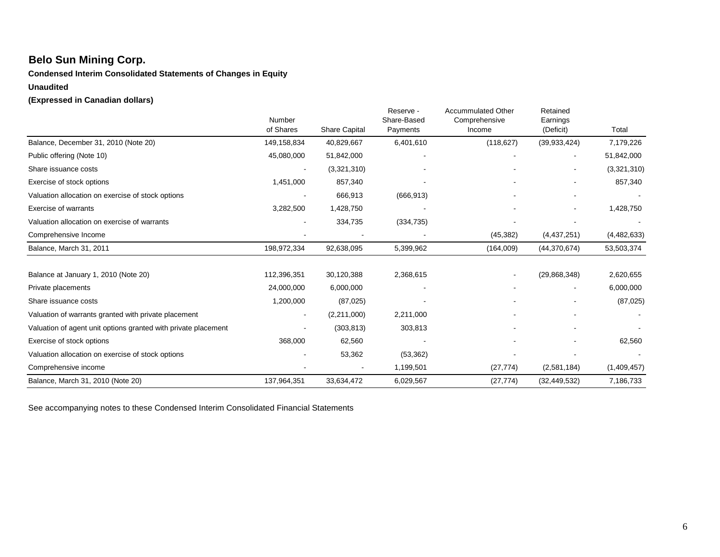**Condensed Interim Consolidated Statements of Changes in Equity**

### **Unaudited**

**(Expressed in Canadian dollars)**

|                                                                | Number<br>of Shares | Share Capital | Reserve -<br>Share-Based<br>Payments | <b>Accummulated Other</b><br>Comprehensive<br>Income | Retained<br>Earnings<br>(Deficit) | Total       |
|----------------------------------------------------------------|---------------------|---------------|--------------------------------------|------------------------------------------------------|-----------------------------------|-------------|
| Balance, December 31, 2010 (Note 20)                           | 149,158,834         | 40,829,667    | 6,401,610                            | (118, 627)                                           | (39, 933, 424)                    | 7,179,226   |
| Public offering (Note 10)                                      | 45,080,000          | 51,842,000    |                                      |                                                      |                                   | 51,842,000  |
| Share issuance costs                                           | $\blacksquare$      | (3,321,310)   |                                      |                                                      |                                   | (3,321,310) |
| Exercise of stock options                                      | 1,451,000           | 857,340       |                                      |                                                      |                                   | 857,340     |
| Valuation allocation on exercise of stock options              |                     | 666,913       | (666, 913)                           |                                                      |                                   |             |
| <b>Exercise of warrants</b>                                    | 3,282,500           | 1,428,750     |                                      |                                                      |                                   | 1,428,750   |
| Valuation allocation on exercise of warrants                   | $\blacksquare$      | 334,735       | (334, 735)                           |                                                      |                                   |             |
| Comprehensive Income                                           |                     |               |                                      | (45, 382)                                            | (4,437,251)                       | (4,482,633) |
| Balance, March 31, 2011                                        | 198,972,334         | 92,638,095    | 5,399,962                            | (164,009)                                            | (44, 370, 674)                    | 53,503,374  |
| Balance at January 1, 2010 (Note 20)                           | 112,396,351         | 30,120,388    | 2,368,615                            |                                                      | (29,868,348)                      | 2,620,655   |
| Private placements                                             | 24,000,000          | 6,000,000     |                                      |                                                      |                                   | 6,000,000   |
| Share issuance costs                                           | 1,200,000           | (87, 025)     |                                      |                                                      |                                   | (87, 025)   |
| Valuation of warrants granted with private placement           | $\blacksquare$      | (2,211,000)   | 2,211,000                            |                                                      |                                   |             |
| Valuation of agent unit options granted with private placement |                     | (303, 813)    | 303,813                              |                                                      |                                   |             |
| Exercise of stock options                                      | 368,000             | 62,560        |                                      |                                                      |                                   | 62,560      |
| Valuation allocation on exercise of stock options              |                     | 53,362        | (53, 362)                            |                                                      |                                   |             |
| Comprehensive income                                           |                     |               | 1,199,501                            | (27, 774)                                            | (2,581,184)                       | (1,409,457) |
| Balance, March 31, 2010 (Note 20)                              | 137,964,351         | 33,634,472    | 6,029,567                            | (27, 774)                                            | (32, 449, 532)                    | 7,186,733   |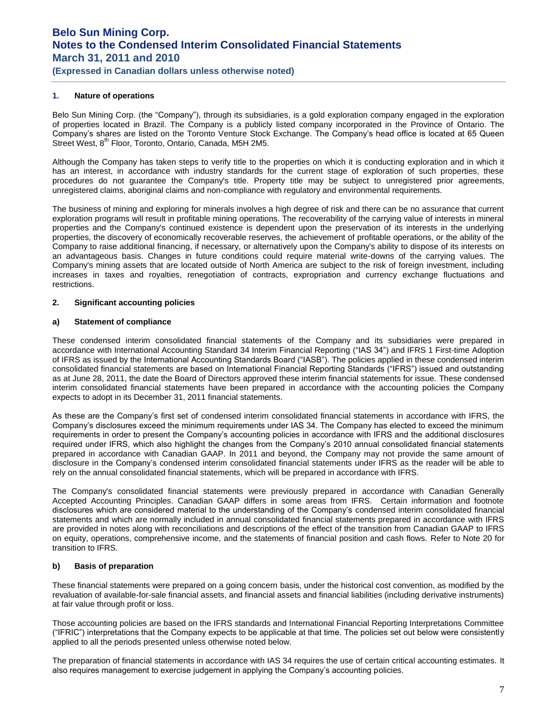#### **1. Nature of operations**

Belo Sun Mining Corp. (the "Company"), through its subsidiaries, is a gold exploration company engaged in the exploration of properties located in Brazil. The Company is a publicly listed company incorporated in the Province of Ontario. The Company"s shares are listed on the Toronto Venture Stock Exchange. The Company"s head office is located at 65 Queen Street West, 8<sup>th</sup> Floor, Toronto, Ontario, Canada, M5H 2M5.

Although the Company has taken steps to verify title to the properties on which it is conducting exploration and in which it has an interest, in accordance with industry standards for the current stage of exploration of such properties, these procedures do not guarantee the Company's title. Property title may be subject to unregistered prior agreements, unregistered claims, aboriginal claims and non-compliance with regulatory and environmental requirements.

The business of mining and exploring for minerals involves a high degree of risk and there can be no assurance that current exploration programs will result in profitable mining operations. The recoverability of the carrying value of interests in mineral properties and the Company's continued existence is dependent upon the preservation of its interests in the underlying properties, the discovery of economically recoverable reserves, the achievement of profitable operations, or the ability of the Company to raise additional financing, if necessary, or alternatively upon the Company's ability to dispose of its interests on an advantageous basis. Changes in future conditions could require material write-downs of the carrying values. The Company's mining assets that are located outside of North America are subject to the risk of foreign investment, including increases in taxes and royalties, renegotiation of contracts, expropriation and currency exchange fluctuations and restrictions.

#### **2. Significant accounting policies**

#### **a) Statement of compliance**

These condensed interim consolidated financial statements of the Company and its subsidiaries were prepared in accordance with International Accounting Standard 34 Interim Financial Reporting ("IAS 34") and IFRS 1 First-time Adoption of IFRS as issued by the International Accounting Standards Board ("IASB"). The policies applied in these condensed interim consolidated financial statements are based on International Financial Reporting Standards ("IFRS") issued and outstanding as at June 28, 2011, the date the Board of Directors approved these interim financial statements for issue. These condensed interim consolidated financial statements have been prepared in accordance with the accounting policies the Company expects to adopt in its December 31, 2011 financial statements.

As these are the Company"s first set of condensed interim consolidated financial statements in accordance with IFRS, the Company"s disclosures exceed the minimum requirements under IAS 34. The Company has elected to exceed the minimum requirements in order to present the Company"s accounting policies in accordance with IFRS and the additional disclosures required under IFRS, which also highlight the changes from the Company"s 2010 annual consolidated financial statements prepared in accordance with Canadian GAAP. In 2011 and beyond, the Company may not provide the same amount of disclosure in the Company"s condensed interim consolidated financial statements under IFRS as the reader will be able to rely on the annual consolidated financial statements, which will be prepared in accordance with IFRS.

The Company's consolidated financial statements were previously prepared in accordance with Canadian Generally Accepted Accounting Principles. Canadian GAAP differs in some areas from IFRS. Certain information and footnote disclosures which are considered material to the understanding of the Company"s condensed interim consolidated financial statements and which are normally included in annual consolidated financial statements prepared in accordance with IFRS are provided in notes along with reconciliations and descriptions of the effect of the transition from Canadian GAAP to IFRS on equity, operations, comprehensive income, and the statements of financial position and cash flows. Refer to Note 20 for transition to IFRS.

#### **b) Basis of preparation**

These financial statements were prepared on a going concern basis, under the historical cost convention, as modified by the revaluation of available-for-sale financial assets, and financial assets and financial liabilities (including derivative instruments) at fair value through profit or loss.

Those accounting policies are based on the IFRS standards and International Financial Reporting Interpretations Committee ("IFRIC") interpretations that the Company expects to be applicable at that time. The policies set out below were consistently applied to all the periods presented unless otherwise noted below.

The preparation of financial statements in accordance with IAS 34 requires the use of certain critical accounting estimates. It also requires management to exercise judgement in applying the Company"s accounting policies.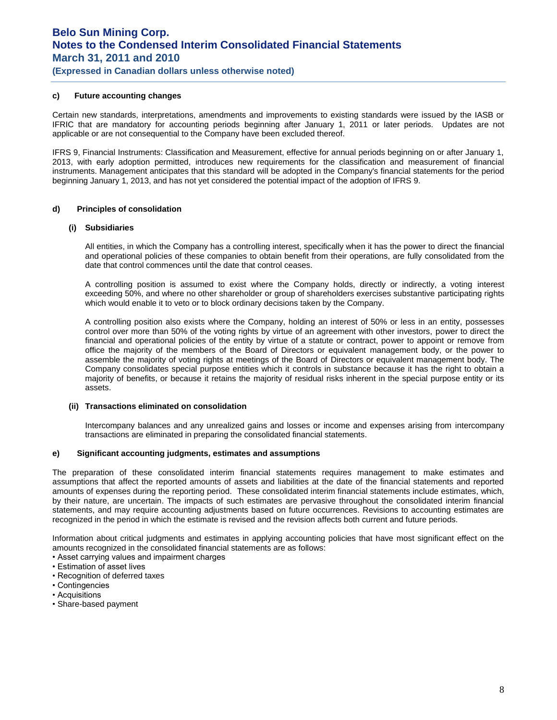#### **c) Future accounting changes**

Certain new standards, interpretations, amendments and improvements to existing standards were issued by the IASB or IFRIC that are mandatory for accounting periods beginning after January 1, 2011 or later periods. Updates are not applicable or are not consequential to the Company have been excluded thereof.

IFRS 9, Financial Instruments: Classification and Measurement, effective for annual periods beginning on or after January 1, 2013, with early adoption permitted, introduces new requirements for the classification and measurement of financial instruments. Management anticipates that this standard will be adopted in the Company's financial statements for the period beginning January 1, 2013, and has not yet considered the potential impact of the adoption of IFRS 9.

#### **d) Principles of consolidation**

#### **(i) Subsidiaries**

All entities, in which the Company has a controlling interest, specifically when it has the power to direct the financial and operational policies of these companies to obtain benefit from their operations, are fully consolidated from the date that control commences until the date that control ceases.

A controlling position is assumed to exist where the Company holds, directly or indirectly, a voting interest exceeding 50%, and where no other shareholder or group of shareholders exercises substantive participating rights which would enable it to veto or to block ordinary decisions taken by the Company.

A controlling position also exists where the Company, holding an interest of 50% or less in an entity, possesses control over more than 50% of the voting rights by virtue of an agreement with other investors, power to direct the financial and operational policies of the entity by virtue of a statute or contract, power to appoint or remove from office the majority of the members of the Board of Directors or equivalent management body, or the power to assemble the majority of voting rights at meetings of the Board of Directors or equivalent management body. The Company consolidates special purpose entities which it controls in substance because it has the right to obtain a majority of benefits, or because it retains the majority of residual risks inherent in the special purpose entity or its assets.

#### **(ii) Transactions eliminated on consolidation**

Intercompany balances and any unrealized gains and losses or income and expenses arising from intercompany transactions are eliminated in preparing the consolidated financial statements.

#### **e) Significant accounting judgments, estimates and assumptions**

The preparation of these consolidated interim financial statements requires management to make estimates and assumptions that affect the reported amounts of assets and liabilities at the date of the financial statements and reported amounts of expenses during the reporting period. These consolidated interim financial statements include estimates, which, by their nature, are uncertain. The impacts of such estimates are pervasive throughout the consolidated interim financial statements, and may require accounting adjustments based on future occurrences. Revisions to accounting estimates are recognized in the period in which the estimate is revised and the revision affects both current and future periods.

Information about critical judgments and estimates in applying accounting policies that have most significant effect on the amounts recognized in the consolidated financial statements are as follows:

- Asset carrying values and impairment charges
- Estimation of asset lives
- Recognition of deferred taxes
- Contingencies
- Acquisitions
- Share-based payment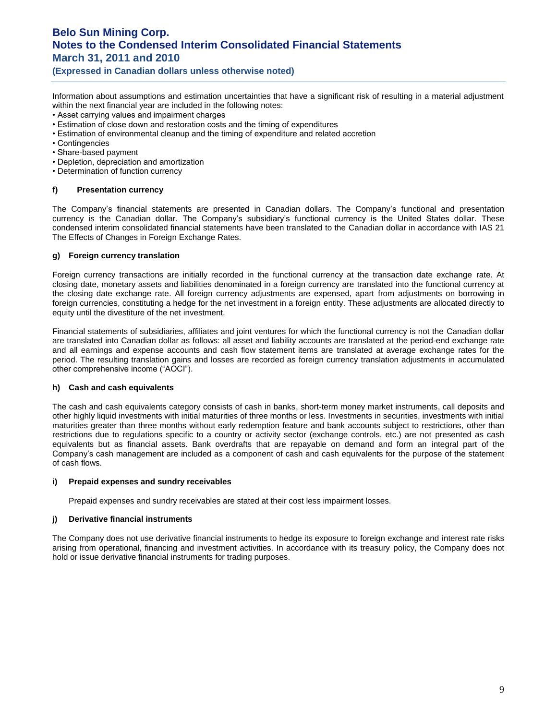#### **(Expressed in Canadian dollars unless otherwise noted)**

Information about assumptions and estimation uncertainties that have a significant risk of resulting in a material adjustment within the next financial year are included in the following notes:

- Asset carrying values and impairment charges
- Estimation of close down and restoration costs and the timing of expenditures
- Estimation of environmental cleanup and the timing of expenditure and related accretion
- Contingencies
- Share-based payment
- Depletion, depreciation and amortization
- Determination of function currency

#### **f) Presentation currency**

The Company"s financial statements are presented in Canadian dollars. The Company"s functional and presentation currency is the Canadian dollar. The Company"s subsidiary"s functional currency is the United States dollar. These condensed interim consolidated financial statements have been translated to the Canadian dollar in accordance with IAS 21 The Effects of Changes in Foreign Exchange Rates.

#### **g) Foreign currency translation**

Foreign currency transactions are initially recorded in the functional currency at the transaction date exchange rate. At closing date, monetary assets and liabilities denominated in a foreign currency are translated into the functional currency at the closing date exchange rate. All foreign currency adjustments are expensed, apart from adjustments on borrowing in foreign currencies, constituting a hedge for the net investment in a foreign entity. These adjustments are allocated directly to equity until the divestiture of the net investment.

Financial statements of subsidiaries, affiliates and joint ventures for which the functional currency is not the Canadian dollar are translated into Canadian dollar as follows: all asset and liability accounts are translated at the period-end exchange rate and all earnings and expense accounts and cash flow statement items are translated at average exchange rates for the period. The resulting translation gains and losses are recorded as foreign currency translation adjustments in accumulated other comprehensive income ("AOCI").

#### **h) Cash and cash equivalents**

The cash and cash equivalents category consists of cash in banks, short-term money market instruments, call deposits and other highly liquid investments with initial maturities of three months or less. Investments in securities, investments with initial maturities greater than three months without early redemption feature and bank accounts subject to restrictions, other than restrictions due to regulations specific to a country or activity sector (exchange controls, etc.) are not presented as cash equivalents but as financial assets. Bank overdrafts that are repayable on demand and form an integral part of the Company"s cash management are included as a component of cash and cash equivalents for the purpose of the statement of cash flows.

#### **i) Prepaid expenses and sundry receivables**

Prepaid expenses and sundry receivables are stated at their cost less impairment losses.

#### **j) Derivative financial instruments**

The Company does not use derivative financial instruments to hedge its exposure to foreign exchange and interest rate risks arising from operational, financing and investment activities. In accordance with its treasury policy, the Company does not hold or issue derivative financial instruments for trading purposes.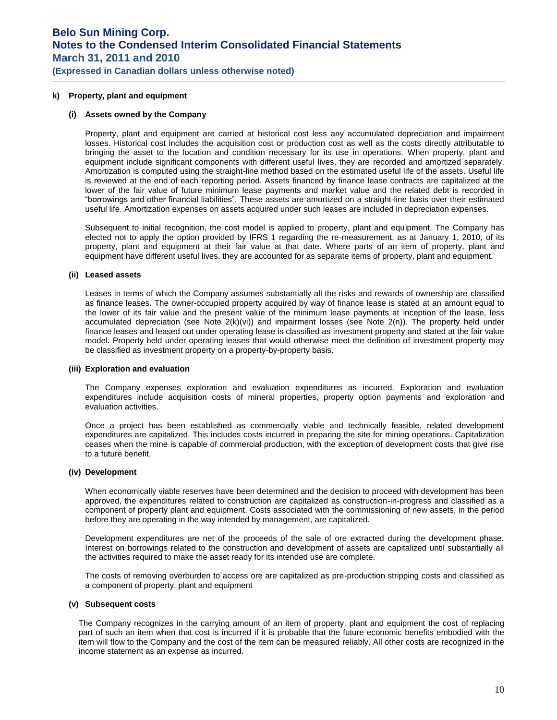#### **k) Property, plant and equipment**

#### **(i) Assets owned by the Company**

Property, plant and equipment are carried at historical cost less any accumulated depreciation and impairment losses. Historical cost includes the acquisition cost or production cost as well as the costs directly attributable to bringing the asset to the location and condition necessary for its use in operations. When property, plant and equipment include significant components with different useful lives, they are recorded and amortized separately. Amortization is computed using the straight-line method based on the estimated useful life of the assets. Useful life is reviewed at the end of each reporting period. Assets financed by finance lease contracts are capitalized at the lower of the fair value of future minimum lease payments and market value and the related debt is recorded in "borrowings and other financial liabilities". These assets are amortized on a straight-line basis over their estimated useful life. Amortization expenses on assets acquired under such leases are included in depreciation expenses.

Subsequent to initial recognition, the cost model is applied to property, plant and equipment. The Company has elected not to apply the option provided by IFRS 1 regarding the re-measurement, as at January 1, 2010, of its property, plant and equipment at their fair value at that date. Where parts of an item of property, plant and equipment have different useful lives, they are accounted for as separate items of property, plant and equipment.

#### **(ii) Leased assets**

Leases in terms of which the Company assumes substantially all the risks and rewards of ownership are classified as finance leases. The owner-occupied property acquired by way of finance lease is stated at an amount equal to the lower of its fair value and the present value of the minimum lease payments at inception of the lease, less accumulated depreciation (see Note 2(k)(vi)) and impairment losses (see Note 2(n)). The property held under finance leases and leased out under operating lease is classified as investment property and stated at the fair value model. Property held under operating leases that would otherwise meet the definition of investment property may be classified as investment property on a property-by-property basis.

#### **(iii) Exploration and evaluation**

The Company expenses exploration and evaluation expenditures as incurred. Exploration and evaluation expenditures include acquisition costs of mineral properties, property option payments and exploration and evaluation activities.

Once a project has been established as commercially viable and technically feasible, related development expenditures are capitalized. This includes costs incurred in preparing the site for mining operations. Capitalization ceases when the mine is capable of commercial production, with the exception of development costs that give rise to a future benefit.

#### **(iv) Development**

When economically viable reserves have been determined and the decision to proceed with development has been approved, the expenditures related to construction are capitalized as construction-in-progress and classified as a component of property plant and equipment. Costs associated with the commissioning of new assets, in the period before they are operating in the way intended by management, are capitalized.

Development expenditures are net of the proceeds of the sale of ore extracted during the development phase. Interest on borrowings related to the construction and development of assets are capitalized until substantially all the activities required to make the asset ready for its intended use are complete.

The costs of removing overburden to access ore are capitalized as pre-production stripping costs and classified as a component of property, plant and equipment

#### **(v) Subsequent costs**

The Company recognizes in the carrying amount of an item of property, plant and equipment the cost of replacing part of such an item when that cost is incurred if it is probable that the future economic benefits embodied with the item will flow to the Company and the cost of the item can be measured reliably. All other costs are recognized in the income statement as an expense as incurred.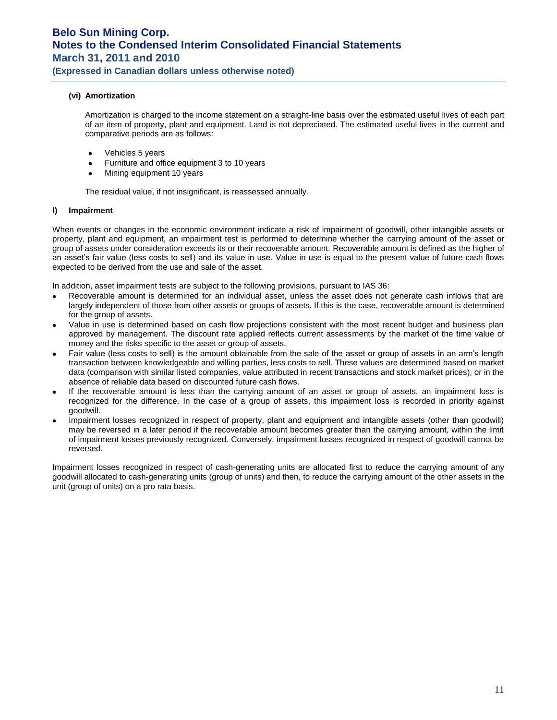#### **(vi) Amortization**

Amortization is charged to the income statement on a straight-line basis over the estimated useful lives of each part of an item of property, plant and equipment. Land is not depreciated. The estimated useful lives in the current and comparative periods are as follows:

- Vehicles 5 years
- Furniture and office equipment 3 to 10 years
- Mining equipment 10 years

The residual value, if not insignificant, is reassessed annually.

#### **l) Impairment**

When events or changes in the economic environment indicate a risk of impairment of goodwill, other intangible assets or property, plant and equipment, an impairment test is performed to determine whether the carrying amount of the asset or group of assets under consideration exceeds its or their recoverable amount. Recoverable amount is defined as the higher of an asset"s fair value (less costs to sell) and its value in use. Value in use is equal to the present value of future cash flows expected to be derived from the use and sale of the asset.

In addition, asset impairment tests are subject to the following provisions, pursuant to IAS 36:

- Recoverable amount is determined for an individual asset, unless the asset does not generate cash inflows that are largely independent of those from other assets or groups of assets. If this is the case, recoverable amount is determined for the group of assets.
- Value in use is determined based on cash flow projections consistent with the most recent budget and business plan approved by management. The discount rate applied reflects current assessments by the market of the time value of money and the risks specific to the asset or group of assets.
- Fair value (less costs to sell) is the amount obtainable from the sale of the asset or group of assets in an arm"s length transaction between knowledgeable and willing parties, less costs to sell. These values are determined based on market data (comparison with similar listed companies, value attributed in recent transactions and stock market prices), or in the absence of reliable data based on discounted future cash flows.
- If the recoverable amount is less than the carrying amount of an asset or group of assets, an impairment loss is recognized for the difference. In the case of a group of assets, this impairment loss is recorded in priority against goodwill.
- Impairment losses recognized in respect of property, plant and equipment and intangible assets (other than goodwill) may be reversed in a later period if the recoverable amount becomes greater than the carrying amount, within the limit of impairment losses previously recognized. Conversely, impairment losses recognized in respect of goodwill cannot be reversed.

Impairment losses recognized in respect of cash-generating units are allocated first to reduce the carrying amount of any goodwill allocated to cash-generating units (group of units) and then, to reduce the carrying amount of the other assets in the unit (group of units) on a pro rata basis.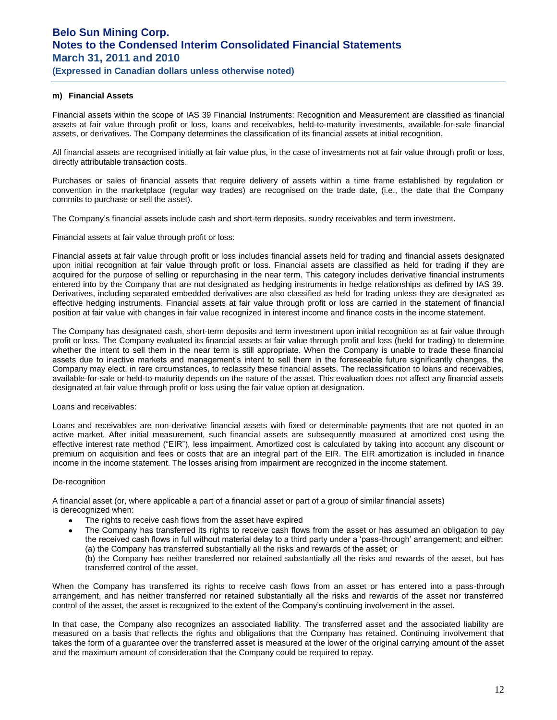#### **m) Financial Assets**

Financial assets within the scope of IAS 39 Financial Instruments: Recognition and Measurement are classified as financial assets at fair value through profit or loss, loans and receivables, held-to-maturity investments, available-for-sale financial assets, or derivatives. The Company determines the classification of its financial assets at initial recognition.

All financial assets are recognised initially at fair value plus, in the case of investments not at fair value through profit or loss, directly attributable transaction costs.

Purchases or sales of financial assets that require delivery of assets within a time frame established by regulation or convention in the marketplace (regular way trades) are recognised on the trade date, (i.e., the date that the Company commits to purchase or sell the asset).

The Company"s financial assets include cash and short-term deposits, sundry receivables and term investment.

Financial assets at fair value through profit or loss:

Financial assets at fair value through profit or loss includes financial assets held for trading and financial assets designated upon initial recognition at fair value through profit or loss. Financial assets are classified as held for trading if they are acquired for the purpose of selling or repurchasing in the near term. This category includes derivative financial instruments entered into by the Company that are not designated as hedging instruments in hedge relationships as defined by IAS 39. Derivatives, including separated embedded derivatives are also classified as held for trading unless they are designated as effective hedging instruments. Financial assets at fair value through profit or loss are carried in the statement of financial position at fair value with changes in fair value recognized in interest income and finance costs in the income statement.

The Company has designated cash, short-term deposits and term investment upon initial recognition as at fair value through profit or loss. The Company evaluated its financial assets at fair value through profit and loss (held for trading) to determine whether the intent to sell them in the near term is still appropriate. When the Company is unable to trade these financial assets due to inactive markets and management"s intent to sell them in the foreseeable future significantly changes, the Company may elect, in rare circumstances, to reclassify these financial assets. The reclassification to loans and receivables, available-for-sale or held-to-maturity depends on the nature of the asset. This evaluation does not affect any financial assets designated at fair value through profit or loss using the fair value option at designation.

#### Loans and receivables:

Loans and receivables are non-derivative financial assets with fixed or determinable payments that are not quoted in an active market. After initial measurement, such financial assets are subsequently measured at amortized cost using the effective interest rate method ("EIR"), less impairment. Amortized cost is calculated by taking into account any discount or premium on acquisition and fees or costs that are an integral part of the EIR. The EIR amortization is included in finance income in the income statement. The losses arising from impairment are recognized in the income statement.

#### De-recognition

A financial asset (or, where applicable a part of a financial asset or part of a group of similar financial assets) is derecognized when:

- The rights to receive cash flows from the asset have expired
- The Company has transferred its rights to receive cash flows from the asset or has assumed an obligation to pay the received cash flows in full without material delay to a third party under a "pass-through" arrangement; and either: (a) the Company has transferred substantially all the risks and rewards of the asset; or

(b) the Company has neither transferred nor retained substantially all the risks and rewards of the asset, but has transferred control of the asset.

When the Company has transferred its rights to receive cash flows from an asset or has entered into a pass-through arrangement, and has neither transferred nor retained substantially all the risks and rewards of the asset nor transferred control of the asset, the asset is recognized to the extent of the Company"s continuing involvement in the asset.

In that case, the Company also recognizes an associated liability. The transferred asset and the associated liability are measured on a basis that reflects the rights and obligations that the Company has retained. Continuing involvement that takes the form of a guarantee over the transferred asset is measured at the lower of the original carrying amount of the asset and the maximum amount of consideration that the Company could be required to repay.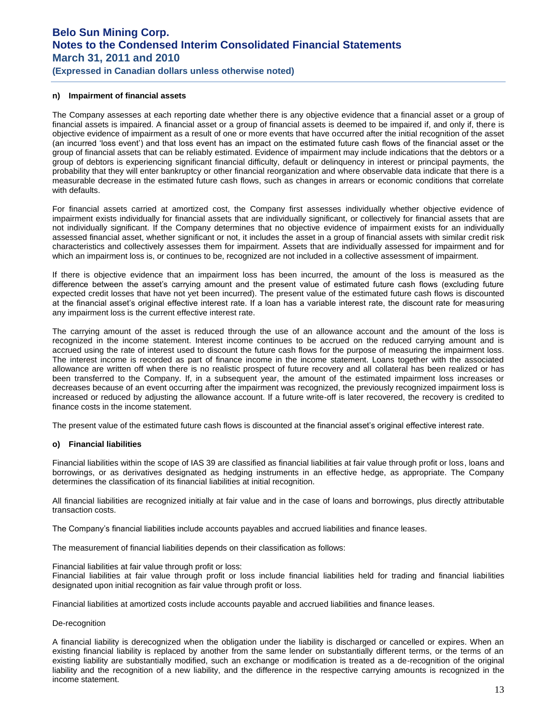#### **n) Impairment of financial assets**

The Company assesses at each reporting date whether there is any objective evidence that a financial asset or a group of financial assets is impaired. A financial asset or a group of financial assets is deemed to be impaired if, and only if, there is objective evidence of impairment as a result of one or more events that have occurred after the initial recognition of the asset (an incurred "loss event") and that loss event has an impact on the estimated future cash flows of the financial asset or the group of financial assets that can be reliably estimated. Evidence of impairment may include indications that the debtors or a group of debtors is experiencing significant financial difficulty, default or delinquency in interest or principal payments, the probability that they will enter bankruptcy or other financial reorganization and where observable data indicate that there is a measurable decrease in the estimated future cash flows, such as changes in arrears or economic conditions that correlate with defaults.

For financial assets carried at amortized cost, the Company first assesses individually whether objective evidence of impairment exists individually for financial assets that are individually significant, or collectively for financial assets that are not individually significant. If the Company determines that no objective evidence of impairment exists for an individually assessed financial asset, whether significant or not, it includes the asset in a group of financial assets with similar credit risk characteristics and collectively assesses them for impairment. Assets that are individually assessed for impairment and for which an impairment loss is, or continues to be, recognized are not included in a collective assessment of impairment.

If there is objective evidence that an impairment loss has been incurred, the amount of the loss is measured as the difference between the asset"s carrying amount and the present value of estimated future cash flows (excluding future expected credit losses that have not yet been incurred). The present value of the estimated future cash flows is discounted at the financial asset"s original effective interest rate. If a loan has a variable interest rate, the discount rate for measuring any impairment loss is the current effective interest rate.

The carrying amount of the asset is reduced through the use of an allowance account and the amount of the loss is recognized in the income statement. Interest income continues to be accrued on the reduced carrying amount and is accrued using the rate of interest used to discount the future cash flows for the purpose of measuring the impairment loss. The interest income is recorded as part of finance income in the income statement. Loans together with the associated allowance are written off when there is no realistic prospect of future recovery and all collateral has been realized or has been transferred to the Company. If, in a subsequent year, the amount of the estimated impairment loss increases or decreases because of an event occurring after the impairment was recognized, the previously recognized impairment loss is increased or reduced by adjusting the allowance account. If a future write-off is later recovered, the recovery is credited to finance costs in the income statement.

The present value of the estimated future cash flows is discounted at the financial asset's original effective interest rate.

#### **o) Financial liabilities**

Financial liabilities within the scope of IAS 39 are classified as financial liabilities at fair value through profit or loss, loans and borrowings, or as derivatives designated as hedging instruments in an effective hedge, as appropriate. The Company determines the classification of its financial liabilities at initial recognition.

All financial liabilities are recognized initially at fair value and in the case of loans and borrowings, plus directly attributable transaction costs.

The Company"s financial liabilities include accounts payables and accrued liabilities and finance leases.

The measurement of financial liabilities depends on their classification as follows:

Financial liabilities at fair value through profit or loss:

Financial liabilities at fair value through profit or loss include financial liabilities held for trading and financial liabilities designated upon initial recognition as fair value through profit or loss.

Financial liabilities at amortized costs include accounts payable and accrued liabilities and finance leases.

#### De-recognition

A financial liability is derecognized when the obligation under the liability is discharged or cancelled or expires. When an existing financial liability is replaced by another from the same lender on substantially different terms, or the terms of an existing liability are substantially modified, such an exchange or modification is treated as a de-recognition of the original liability and the recognition of a new liability, and the difference in the respective carrying amounts is recognized in the income statement.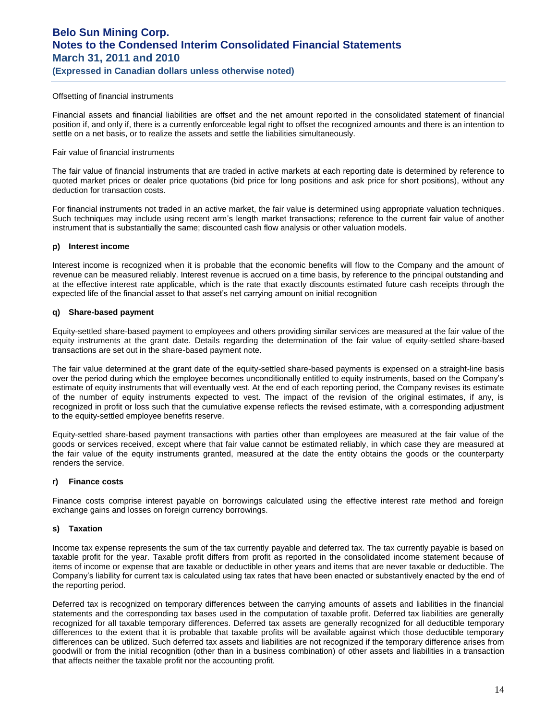#### Offsetting of financial instruments

Financial assets and financial liabilities are offset and the net amount reported in the consolidated statement of financial position if, and only if, there is a currently enforceable legal right to offset the recognized amounts and there is an intention to settle on a net basis, or to realize the assets and settle the liabilities simultaneously.

#### Fair value of financial instruments

The fair value of financial instruments that are traded in active markets at each reporting date is determined by reference to quoted market prices or dealer price quotations (bid price for long positions and ask price for short positions), without any deduction for transaction costs.

For financial instruments not traded in an active market, the fair value is determined using appropriate valuation techniques. Such techniques may include using recent arm"s length market transactions; reference to the current fair value of another instrument that is substantially the same; discounted cash flow analysis or other valuation models.

#### **p) Interest income**

Interest income is recognized when it is probable that the economic benefits will flow to the Company and the amount of revenue can be measured reliably. Interest revenue is accrued on a time basis, by reference to the principal outstanding and at the effective interest rate applicable, which is the rate that exactly discounts estimated future cash receipts through the expected life of the financial asset to that asset's net carrying amount on initial recognition

#### **q) Share-based payment**

Equity-settled share-based payment to employees and others providing similar services are measured at the fair value of the equity instruments at the grant date. Details regarding the determination of the fair value of equity-settled share-based transactions are set out in the share-based payment note.

The fair value determined at the grant date of the equity-settled share-based payments is expensed on a straight-line basis over the period during which the employee becomes unconditionally entitled to equity instruments, based on the Company"s estimate of equity instruments that will eventually vest. At the end of each reporting period, the Company revises its estimate of the number of equity instruments expected to vest. The impact of the revision of the original estimates, if any, is recognized in profit or loss such that the cumulative expense reflects the revised estimate, with a corresponding adjustment to the equity-settled employee benefits reserve.

Equity-settled share-based payment transactions with parties other than employees are measured at the fair value of the goods or services received, except where that fair value cannot be estimated reliably, in which case they are measured at the fair value of the equity instruments granted, measured at the date the entity obtains the goods or the counterparty renders the service.

#### **r) Finance costs**

Finance costs comprise interest payable on borrowings calculated using the effective interest rate method and foreign exchange gains and losses on foreign currency borrowings.

#### **s) Taxation**

Income tax expense represents the sum of the tax currently payable and deferred tax. The tax currently payable is based on taxable profit for the year. Taxable profit differs from profit as reported in the consolidated income statement because of items of income or expense that are taxable or deductible in other years and items that are never taxable or deductible. The Company"s liability for current tax is calculated using tax rates that have been enacted or substantively enacted by the end of the reporting period.

Deferred tax is recognized on temporary differences between the carrying amounts of assets and liabilities in the financial statements and the corresponding tax bases used in the computation of taxable profit. Deferred tax liabilities are generally recognized for all taxable temporary differences. Deferred tax assets are generally recognized for all deductible temporary differences to the extent that it is probable that taxable profits will be available against which those deductible temporary differences can be utilized. Such deferred tax assets and liabilities are not recognized if the temporary difference arises from goodwill or from the initial recognition (other than in a business combination) of other assets and liabilities in a transaction that affects neither the taxable profit nor the accounting profit.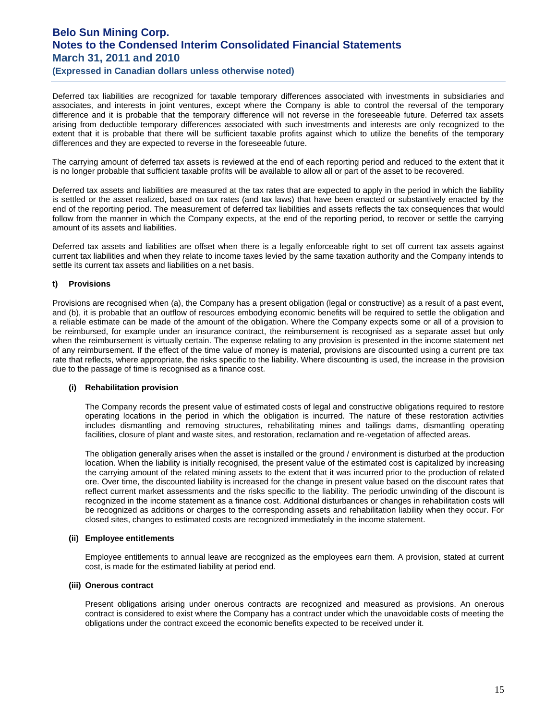**(Expressed in Canadian dollars unless otherwise noted)** 

Deferred tax liabilities are recognized for taxable temporary differences associated with investments in subsidiaries and associates, and interests in joint ventures, except where the Company is able to control the reversal of the temporary difference and it is probable that the temporary difference will not reverse in the foreseeable future. Deferred tax assets arising from deductible temporary differences associated with such investments and interests are only recognized to the extent that it is probable that there will be sufficient taxable profits against which to utilize the benefits of the temporary differences and they are expected to reverse in the foreseeable future.

The carrying amount of deferred tax assets is reviewed at the end of each reporting period and reduced to the extent that it is no longer probable that sufficient taxable profits will be available to allow all or part of the asset to be recovered.

Deferred tax assets and liabilities are measured at the tax rates that are expected to apply in the period in which the liability is settled or the asset realized, based on tax rates (and tax laws) that have been enacted or substantively enacted by the end of the reporting period. The measurement of deferred tax liabilities and assets reflects the tax consequences that would follow from the manner in which the Company expects, at the end of the reporting period, to recover or settle the carrying amount of its assets and liabilities.

Deferred tax assets and liabilities are offset when there is a legally enforceable right to set off current tax assets against current tax liabilities and when they relate to income taxes levied by the same taxation authority and the Company intends to settle its current tax assets and liabilities on a net basis.

#### **t) Provisions**

Provisions are recognised when (a), the Company has a present obligation (legal or constructive) as a result of a past event, and (b), it is probable that an outflow of resources embodying economic benefits will be required to settle the obligation and a reliable estimate can be made of the amount of the obligation. Where the Company expects some or all of a provision to be reimbursed, for example under an insurance contract, the reimbursement is recognised as a separate asset but only when the reimbursement is virtually certain. The expense relating to any provision is presented in the income statement net of any reimbursement. If the effect of the time value of money is material, provisions are discounted using a current pre tax rate that reflects, where appropriate, the risks specific to the liability. Where discounting is used, the increase in the provision due to the passage of time is recognised as a finance cost.

#### **(i) Rehabilitation provision**

The Company records the present value of estimated costs of legal and constructive obligations required to restore operating locations in the period in which the obligation is incurred. The nature of these restoration activities includes dismantling and removing structures, rehabilitating mines and tailings dams, dismantling operating facilities, closure of plant and waste sites, and restoration, reclamation and re-vegetation of affected areas.

The obligation generally arises when the asset is installed or the ground / environment is disturbed at the production location. When the liability is initially recognised, the present value of the estimated cost is capitalized by increasing the carrying amount of the related mining assets to the extent that it was incurred prior to the production of related ore. Over time, the discounted liability is increased for the change in present value based on the discount rates that reflect current market assessments and the risks specific to the liability. The periodic unwinding of the discount is recognized in the income statement as a finance cost. Additional disturbances or changes in rehabilitation costs will be recognized as additions or charges to the corresponding assets and rehabilitation liability when they occur. For closed sites, changes to estimated costs are recognized immediately in the income statement.

#### **(ii) Employee entitlements**

Employee entitlements to annual leave are recognized as the employees earn them. A provision, stated at current cost, is made for the estimated liability at period end.

#### **(iii) Onerous contract**

Present obligations arising under onerous contracts are recognized and measured as provisions. An onerous contract is considered to exist where the Company has a contract under which the unavoidable costs of meeting the obligations under the contract exceed the economic benefits expected to be received under it.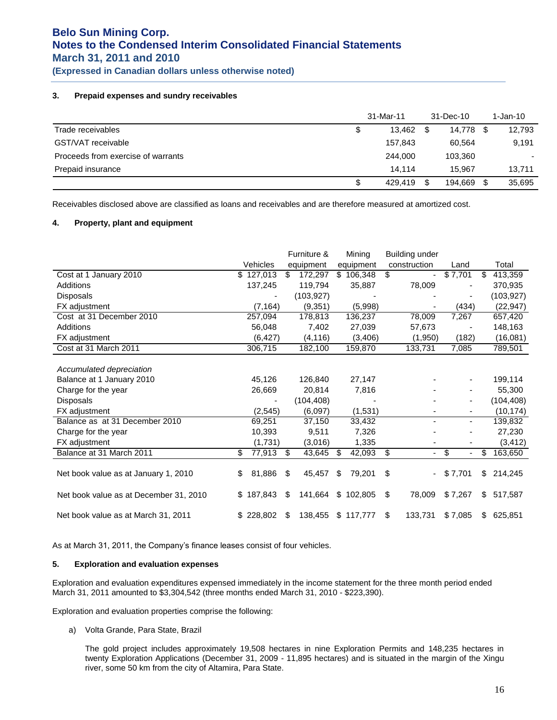**(Expressed in Canadian dollars unless otherwise noted)** 

#### **3. Prepaid expenses and sundry receivables**

|                                    | 31-Mar-11 |         |      | 31-Dec-10 | 1-Jan-10 |
|------------------------------------|-----------|---------|------|-----------|----------|
| Trade receivables                  |           | 13.462  | - \$ | 14.778 \$ | 12,793   |
| GST/VAT receivable                 |           | 157.843 |      | 60.564    | 9,191    |
| Proceeds from exercise of warrants |           | 244.000 |      | 103.360   | -        |
| Prepaid insurance                  |           | 14.114  |      | 15.967    | 13.711   |
|                                    |           | 429.419 |      | 194.669   | 35,695   |

Receivables disclosed above are classified as loans and receivables and are therefore measured at amortized cost.

#### **4. Property, plant and equipment**

|                                        |                | Furniture &                | Mining       | Building under |         |                |
|----------------------------------------|----------------|----------------------------|--------------|----------------|---------|----------------|
|                                        | Vehicles       | equipment                  | equipment    | construction   | Land    | Total          |
| Cost at 1 January 2010                 | \$127,013      | $\overline{172,}297$<br>\$ | \$106,348    | \$             | \$7,701 | 413,359<br>\$  |
| Additions                              | 137,245        | 119,794                    | 35,887       | 78,009         |         | 370,935        |
| <b>Disposals</b>                       |                | (103, 927)                 |              |                |         | (103, 927)     |
| FX adjustment                          | (7, 164)       | (9,351)                    | (5,998)      |                | (434)   | (22, 947)      |
| Cost at 31 December 2010               | 257,094        | 178.813                    | 136,237      | 78,009         | 7.267   | 657,420        |
| Additions                              | 56,048         | 7,402                      | 27,039       | 57,673         |         | 148,163        |
| FX adjustment                          | (6, 427)       | (4, 116)                   | (3, 406)     | (1,950)        | (182)   | (16,081)       |
| Cost at 31 March 2011                  | 306,715        | 182,100                    | 159,870      | 133,731        | 7,085   | 789,501        |
|                                        |                |                            |              |                |         |                |
| Accumulated depreciation               |                |                            |              |                |         |                |
| Balance at 1 January 2010              | 45,126         | 126,840                    | 27,147       |                |         | 199,114        |
| Charge for the year                    | 26,669         | 20,814                     | 7,816        |                |         | 55,300         |
| <b>Disposals</b>                       |                | (104, 408)                 |              |                |         | (104, 408)     |
| FX adjustment                          | (2, 545)       | (6,097)                    | (1,531)      |                |         | (10, 174)      |
| Balance as at 31 December 2010         | 69,251         | 37,150                     | 33,432       | ۰.             | ٠       | 139,832        |
| Charge for the year                    | 10,393         | 9,511                      | 7,326        |                |         | 27,230         |
| FX adjustment                          | (1,731)        | (3,016)                    | 1,335        |                |         | (3, 412)       |
| Balance at 31 March 2011               | 77,913<br>\$   | 43,645<br>S                | 42,093<br>S  | \$<br>$\sim$   | \$      | 163,650        |
|                                        |                |                            |              |                |         |                |
| Net book value as at January 1, 2010   | 81,886<br>\$   | \$.<br>45,457              | \$<br>79,201 | \$             | \$7,701 | \$<br>214,245  |
|                                        |                |                            |              |                |         |                |
| Net book value as at December 31, 2010 | 187,843<br>\$  | S<br>141,664               | \$102.805    | \$<br>78.009   | \$7,267 | 517,587<br>\$  |
| Net book value as at March 31, 2011    | 228,802<br>\$. | 138,455<br>\$              | \$117,777    | \$<br>133,731  | \$7,085 | 625,851<br>\$. |
|                                        |                |                            |              |                |         |                |

As at March 31, 2011, the Company"s finance leases consist of four vehicles.

#### **5. Exploration and evaluation expenses**

Exploration and evaluation expenditures expensed immediately in the income statement for the three month period ended March 31, 2011 amounted to \$3,304,542 (three months ended March 31, 2010 - \$223,390).

Exploration and evaluation properties comprise the following:

a) Volta Grande, Para State, Brazil

The gold project includes approximately 19,508 hectares in nine Exploration Permits and 148,235 hectares in twenty Exploration Applications (December 31, 2009 - 11,895 hectares) and is situated in the margin of the Xingu river, some 50 km from the city of Altamira, Para State.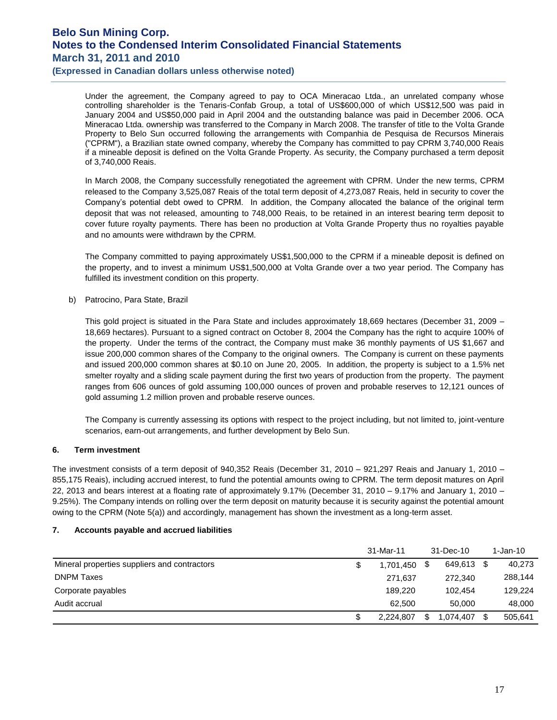**(Expressed in Canadian dollars unless otherwise noted)** 

Under the agreement, the Company agreed to pay to OCA Mineracao Ltda., an unrelated company whose controlling shareholder is the Tenaris-Confab Group, a total of US\$600,000 of which US\$12,500 was paid in January 2004 and US\$50,000 paid in April 2004 and the outstanding balance was paid in December 2006. OCA Mineracao Ltda. ownership was transferred to the Company in March 2008. The transfer of title to the Volta Grande Property to Belo Sun occurred following the arrangements with Companhia de Pesquisa de Recursos Minerais ("CPRM"), a Brazilian state owned company, whereby the Company has committed to pay CPRM 3,740,000 Reais if a mineable deposit is defined on the Volta Grande Property. As security, the Company purchased a term deposit of 3,740,000 Reais.

In March 2008, the Company successfully renegotiated the agreement with CPRM. Under the new terms, CPRM released to the Company 3,525,087 Reais of the total term deposit of 4,273,087 Reais, held in security to cover the Company"s potential debt owed to CPRM. In addition, the Company allocated the balance of the original term deposit that was not released, amounting to 748,000 Reais, to be retained in an interest bearing term deposit to cover future royalty payments. There has been no production at Volta Grande Property thus no royalties payable and no amounts were withdrawn by the CPRM.

The Company committed to paying approximately US\$1,500,000 to the CPRM if a mineable deposit is defined on the property, and to invest a minimum US\$1,500,000 at Volta Grande over a two year period. The Company has fulfilled its investment condition on this property.

b) Patrocino, Para State, Brazil

This gold project is situated in the Para State and includes approximately 18,669 hectares (December 31, 2009 – 18,669 hectares). Pursuant to a signed contract on October 8, 2004 the Company has the right to acquire 100% of the property. Under the terms of the contract, the Company must make 36 monthly payments of US \$1,667 and issue 200,000 common shares of the Company to the original owners. The Company is current on these payments and issued 200,000 common shares at \$0.10 on June 20, 2005. In addition, the property is subject to a 1.5% net smelter royalty and a sliding scale payment during the first two years of production from the property. The payment ranges from 606 ounces of gold assuming 100,000 ounces of proven and probable reserves to 12,121 ounces of gold assuming 1.2 million proven and probable reserve ounces.

The Company is currently assessing its options with respect to the project including, but not limited to, joint-venture scenarios, earn-out arrangements, and further development by Belo Sun.

#### **6. Term investment**

The investment consists of a term deposit of 940,352 Reais (December 31, 2010 – 921,297 Reais and January 1, 2010 – 855,175 Reais), including accrued interest, to fund the potential amounts owing to CPRM. The term deposit matures on April 22, 2013 and bears interest at a floating rate of approximately 9.17% (December 31, 2010 – 9.17% and January 1, 2010 – 9.25%). The Company intends on rolling over the term deposit on maturity because it is security against the potential amount owing to the CPRM (Note 5(a)) and accordingly, management has shown the investment as a long-term asset.

#### **7. Accounts payable and accrued liabilities**

|                                              | 31-Mar-11 |              |    | 31-Dec-10 | 1-Jan-10 |         |
|----------------------------------------------|-----------|--------------|----|-----------|----------|---------|
| Mineral properties suppliers and contractors | \$        | 1,701,450 \$ |    | 649.613   | - \$     | 40,273  |
| <b>DNPM Taxes</b>                            |           | 271.637      |    | 272.340   |          | 288,144 |
| Corporate payables                           |           | 189.220      |    | 102.454   |          | 129.224 |
| Audit accrual                                |           | 62.500       |    | 50.000    |          | 48,000  |
|                                              |           | 2,224,807    | \$ | 1.074.407 |          | 505,641 |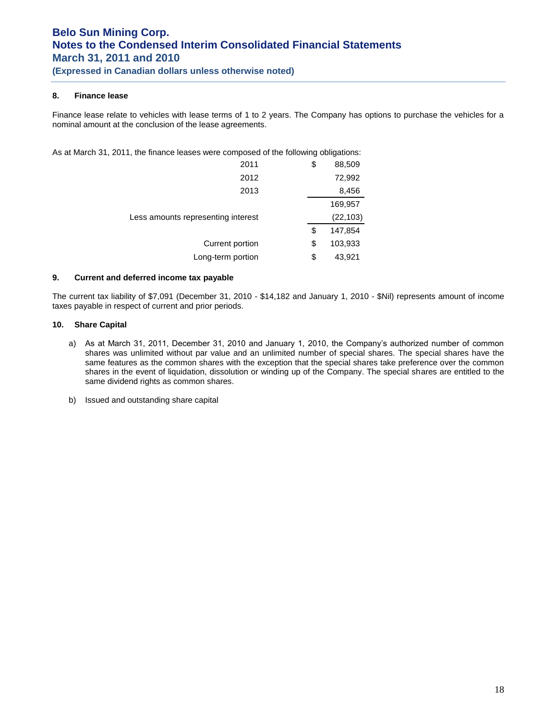#### **8. Finance lease**

Finance lease relate to vehicles with lease terms of 1 to 2 years. The Company has options to purchase the vehicles for a nominal amount at the conclusion of the lease agreements.

As at March 31, 2011, the finance leases were composed of the following obligations:

| 2011                               | \$ | 88,509    |
|------------------------------------|----|-----------|
| 2012                               |    | 72,992    |
| 2013                               |    | 8,456     |
|                                    |    | 169,957   |
| Less amounts representing interest |    | (22, 103) |
|                                    | \$ | 147,854   |
| Current portion                    | S  | 103,933   |
| Long-term portion                  | \$ | 43,921    |
|                                    |    |           |

#### **9. Current and deferred income tax payable**

The current tax liability of \$7,091 (December 31, 2010 - \$14,182 and January 1, 2010 - \$Nil) represents amount of income taxes payable in respect of current and prior periods.

#### **10. Share Capital**

- a) As at March 31, 2011, December 31, 2010 and January 1, 2010, the Company"s authorized number of common shares was unlimited without par value and an unlimited number of special shares. The special shares have the same features as the common shares with the exception that the special shares take preference over the common shares in the event of liquidation, dissolution or winding up of the Company. The special shares are entitled to the same dividend rights as common shares.
- b) Issued and outstanding share capital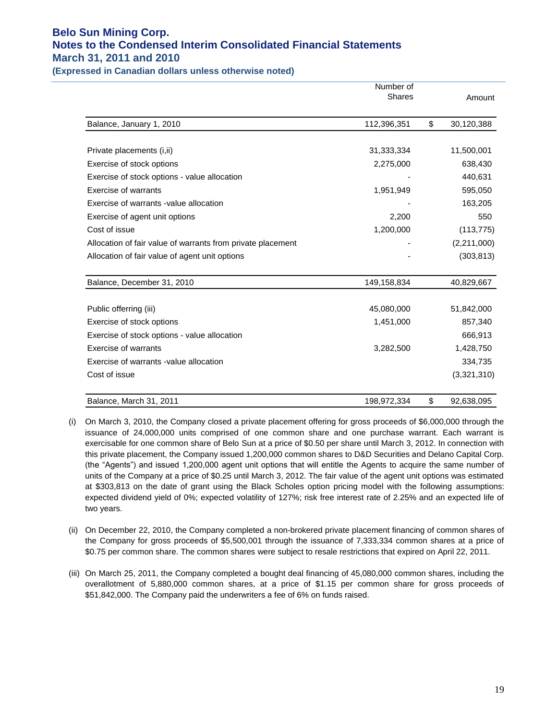**(Expressed in Canadian dollars unless otherwise noted)** 

|                                                             | Number of<br><b>Shares</b> | Amount |             |
|-------------------------------------------------------------|----------------------------|--------|-------------|
| Balance, January 1, 2010                                    | 112,396,351                | \$     | 30,120,388  |
|                                                             |                            |        |             |
| Private placements (i,ii)                                   | 31,333,334                 |        | 11,500,001  |
| Exercise of stock options                                   | 2,275,000                  |        | 638,430     |
| Exercise of stock options - value allocation                |                            |        | 440,631     |
| Exercise of warrants                                        | 1,951,949                  |        | 595,050     |
| Exercise of warrants -value allocation                      |                            |        | 163,205     |
| Exercise of agent unit options                              | 2,200                      |        | 550         |
| Cost of issue                                               | 1,200,000                  |        | (113, 775)  |
| Allocation of fair value of warrants from private placement |                            |        | (2,211,000) |
| Allocation of fair value of agent unit options              |                            |        | (303, 813)  |
| Balance, December 31, 2010                                  | 149,158,834                |        | 40,829,667  |
| Public offerring (iii)                                      | 45,080,000                 |        | 51,842,000  |
| Exercise of stock options                                   | 1,451,000                  |        | 857,340     |
| Exercise of stock options - value allocation                |                            |        | 666,913     |
| Exercise of warrants                                        | 3,282,500                  |        | 1,428,750   |
| Exercise of warrants -value allocation                      |                            |        | 334,735     |
| Cost of issue                                               |                            |        | (3,321,310) |
| Balance, March 31, 2011                                     | 198,972,334                | \$     | 92,638,095  |

- (i) On March 3, 2010, the Company closed a private placement offering for gross proceeds of \$6,000,000 through the issuance of 24,000,000 units comprised of one common share and one purchase warrant. Each warrant is exercisable for one common share of Belo Sun at a price of \$0.50 per share until March 3, 2012. In connection with this private placement, the Company issued 1,200,000 common shares to D&D Securities and Delano Capital Corp. (the "Agents") and issued 1,200,000 agent unit options that will entitle the Agents to acquire the same number of units of the Company at a price of \$0.25 until March 3, 2012. The fair value of the agent unit options was estimated at \$303,813 on the date of grant using the Black Scholes option pricing model with the following assumptions: expected dividend yield of 0%; expected volatility of 127%; risk free interest rate of 2.25% and an expected life of two years.
- (ii) On December 22, 2010, the Company completed a non-brokered private placement financing of common shares of the Company for gross proceeds of \$5,500,001 through the issuance of 7,333,334 common shares at a price of \$0.75 per common share. The common shares were subject to resale restrictions that expired on April 22, 2011.
- (iii) On March 25, 2011, the Company completed a bought deal financing of 45,080,000 common shares, including the overallotment of 5,880,000 common shares, at a price of \$1.15 per common share for gross proceeds of \$51,842,000. The Company paid the underwriters a fee of 6% on funds raised.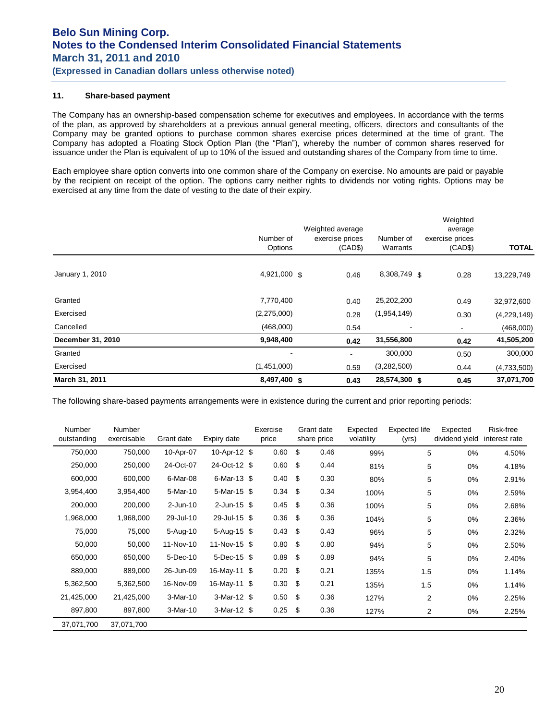#### **11. Share-based payment**

The Company has an ownership-based compensation scheme for executives and employees. In accordance with the terms of the plan, as approved by shareholders at a previous annual general meeting, officers, directors and consultants of the Company may be granted options to purchase common shares exercise prices determined at the time of grant. The Company has adopted a Floating Stock Option Plan (the "Plan"), whereby the number of common shares reserved for issuance under the Plan is equivalent of up to 10% of the issued and outstanding shares of the Company from time to time.

Each employee share option converts into one common share of the Company on exercise. No amounts are paid or payable by the recipient on receipt of the option. The options carry neither rights to dividends nor voting rights. Options may be exercised at any time from the date of vesting to the date of their expiry.

|                   | Number of<br>Options | Weighted average<br>exercise prices<br>(CAD\$) | Number of<br>Warrants | Weighted<br>average<br>exercise prices<br>(CAD\$) | <b>TOTAL</b> |
|-------------------|----------------------|------------------------------------------------|-----------------------|---------------------------------------------------|--------------|
| January 1, 2010   | 4,921,000 \$         | 0.46                                           | 8,308,749 \$          | 0.28                                              | 13,229,749   |
| Granted           | 7,770,400            | 0.40                                           | 25,202,200            | 0.49                                              | 32,972,600   |
| Exercised         | (2,275,000)          | 0.28                                           | (1,954,149)           | 0.30                                              | (4,229,149)  |
| Cancelled         | (468,000)            | 0.54                                           | $\blacksquare$        | $\blacksquare$                                    | (468,000)    |
| December 31, 2010 | 9,948,400            | 0.42                                           | 31,556,800            | 0.42                                              | 41,505,200   |
| Granted           | $\blacksquare$       | $\blacksquare$                                 | 300,000               | 0.50                                              | 300,000      |
| Exercised         | (1,451,000)          | 0.59                                           | (3,282,500)           | 0.44                                              | (4,733,500)  |
| March 31, 2011    | 8,497,400 \$         | 0.43                                           | 28,574,300 \$         | 0.45                                              | 37,071,700   |

The following share-based payments arrangements were in existence during the current and prior reporting periods:

| <b>Number</b><br>outstanding | Number<br>exercisable | Grant date  | Expiry date   | Exercise<br>price |      | Grant date<br>share price | Expected<br>volatility | Expected life<br>(yrs) | Expected<br>dividend yield | Risk-free<br>interest rate |
|------------------------------|-----------------------|-------------|---------------|-------------------|------|---------------------------|------------------------|------------------------|----------------------------|----------------------------|
| 750,000                      | 750,000               | 10-Apr-07   | 10-Apr-12 \$  | 0.60              | \$   | 0.46                      | 99%                    | 5                      | $0\%$                      | 4.50%                      |
| 250,000                      | 250,000               | 24-Oct-07   | 24-Oct-12 \$  | 0.60              | \$   | 0.44                      | 81%                    | 5                      | $0\%$                      | 4.18%                      |
| 600,000                      | 600,000               | 6-Mar-08    | 6-Mar-13 \$   | 0.40              | -\$  | 0.30                      | 80%                    | 5                      | $0\%$                      | 2.91%                      |
| 3,954,400                    | 3,954,400             | 5-Mar-10    | 5-Mar-15 \$   | 0.34              | \$   | 0.34                      | 100%                   | 5                      | $0\%$                      | 2.59%                      |
| 200,000                      | 200,000               | $2$ -Jun-10 | 2-Jun-15 \$   | 0.45              | \$   | 0.36                      | 100%                   | 5                      | $0\%$                      | 2.68%                      |
| 1,968,000                    | 1,968,000             | 29-Jul-10   | 29-Jul-15 \$  | 0.36              | \$   | 0.36                      | 104%                   | 5                      | $0\%$                      | 2.36%                      |
| 75,000                       | 75,000                | 5-Aug-10    | 5-Aug-15 \$   | 0.43              | \$   | 0.43                      | 96%                    | 5                      | $0\%$                      | 2.32%                      |
| 50,000                       | 50,000                | 11-Nov-10   | 11-Nov-15 \$  | 0.80              | \$   | 0.80                      | 94%                    | 5                      | $0\%$                      | 2.50%                      |
| 650,000                      | 650,000               | 5-Dec-10    | 5-Dec-15 \$   | 0.89              | \$   | 0.89                      | 94%                    | 5                      | $0\%$                      | 2.40%                      |
| 889,000                      | 889,000               | 26-Jun-09   | 16-May-11 \$  | 0.20              | - \$ | 0.21                      | 135%                   | 1.5                    | $0\%$                      | 1.14%                      |
| 5,362,500                    | 5,362,500             | 16-Nov-09   | 16-May-11 \$  | 0.30              | -\$  | 0.21                      | 135%                   | 1.5                    | $0\%$                      | 1.14%                      |
| 21,425,000                   | 21,425,000            | 3-Mar-10    | 3-Mar-12 \$   | $0.50$ \$         |      | 0.36                      | 127%                   | 2                      | $0\%$                      | 2.25%                      |
| 897,800                      | 897,800               | 3-Mar-10    | $3-Mar-12$ \$ | 0.25              | -\$  | 0.36                      | 127%                   | 2                      | 0%                         | 2.25%                      |
| 37,071,700                   | 37,071,700            |             |               |                   |      |                           |                        |                        |                            |                            |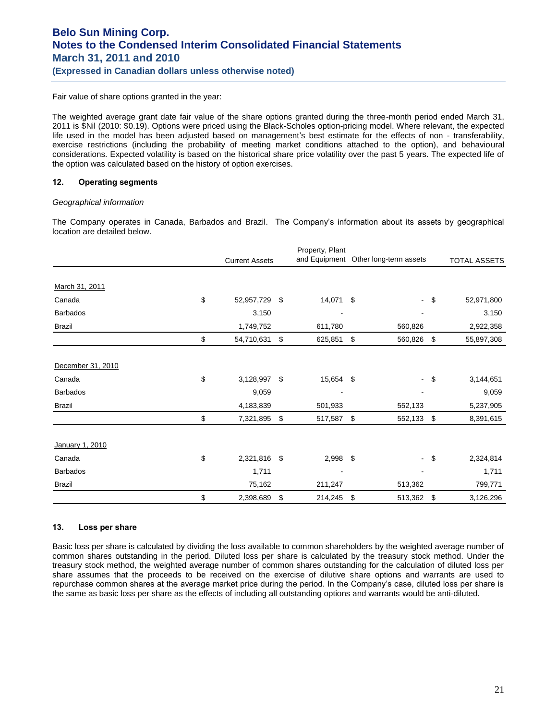**(Expressed in Canadian dollars unless otherwise noted)** 

Fair value of share options granted in the year:

The weighted average grant date fair value of the share options granted during the three-month period ended March 31, 2011 is \$Nil (2010: \$0.19). Options were priced using the Black-Scholes option-pricing model. Where relevant, the expected life used in the model has been adjusted based on management"s best estimate for the effects of non - transferability, exercise restrictions (including the probability of meeting market conditions attached to the option), and behavioural considerations. Expected volatility is based on the historical share price volatility over the past 5 years. The expected life of the option was calculated based on the history of option exercises.

#### **12. Operating segments**

#### *Geographical information*

The Company operates in Canada, Barbados and Brazil. The Company"s information about its assets by geographical location are detailed below.

|                   | <b>Current Assets</b> |    | Property, Plant | and Equipment Other long-term assets | TOTAL ASSETS |            |
|-------------------|-----------------------|----|-----------------|--------------------------------------|--------------|------------|
|                   |                       |    |                 |                                      |              |            |
| March 31, 2011    |                       |    |                 |                                      |              |            |
| Canada            | \$<br>52,957,729      | \$ | 14,071          | \$<br>$\blacksquare$                 | \$           | 52,971,800 |
| <b>Barbados</b>   | 3,150                 |    |                 |                                      |              | 3,150      |
| <b>Brazil</b>     | 1,749,752             |    | 611,780         | 560,826                              |              | 2,922,358  |
|                   | \$<br>54,710,631      | \$ | 625,851         | \$<br>560,826                        | \$           | 55,897,308 |
|                   |                       |    |                 |                                      |              |            |
| December 31, 2010 |                       |    |                 |                                      |              |            |
| Canada            | \$<br>3,128,997 \$    |    | 15,654 \$       | $\blacksquare$                       | \$           | 3,144,651  |
| <b>Barbados</b>   | 9,059                 |    |                 |                                      |              | 9,059      |
| <b>Brazil</b>     | 4,183,839             |    | 501,933         | 552,133                              |              | 5,237,905  |
|                   | \$<br>7,321,895       | \$ | 517,587         | \$<br>552,133                        | \$           | 8,391,615  |
|                   |                       |    |                 |                                      |              |            |
| January 1, 2010   |                       |    |                 |                                      |              |            |
| Canada            | \$<br>2,321,816 \$    |    | 2,998 \$        | $\blacksquare$                       | \$           | 2,324,814  |
| <b>Barbados</b>   | 1,711                 |    |                 |                                      |              | 1,711      |
| <b>Brazil</b>     | 75,162                |    | 211,247         | 513,362                              |              | 799,771    |
|                   | \$<br>2,398,689       | \$ | 214,245         | \$<br>513,362                        | \$           | 3,126,296  |

#### **13. Loss per share**

Basic loss per share is calculated by dividing the loss available to common shareholders by the weighted average number of common shares outstanding in the period. Diluted loss per share is calculated by the treasury stock method. Under the treasury stock method, the weighted average number of common shares outstanding for the calculation of diluted loss per share assumes that the proceeds to be received on the exercise of dilutive share options and warrants are used to repurchase common shares at the average market price during the period. In the Company"s case, diluted loss per share is the same as basic loss per share as the effects of including all outstanding options and warrants would be anti-diluted.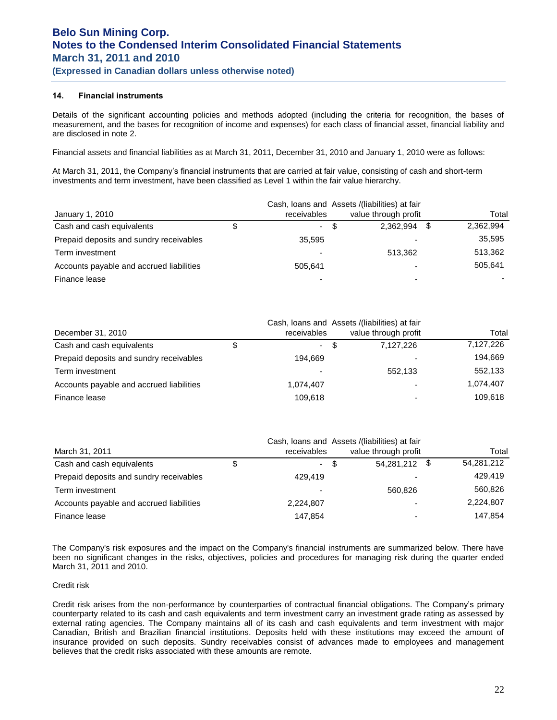#### **14. Financial instruments**

Details of the significant accounting policies and methods adopted (including the criteria for recognition, the bases of measurement, and the bases for recognition of income and expenses) for each class of financial asset, financial liability and are disclosed in note 2.

Financial assets and financial liabilities as at March 31, 2011, December 31, 2010 and January 1, 2010 were as follows:

At March 31, 2011, the Company"s financial instruments that are carried at fair value, consisting of cash and short-term investments and term investment, have been classified as Level 1 within the fair value hierarchy.

|                                          |    |             |  | Cash, loans and Assets /(liabilities) at fair |           |
|------------------------------------------|----|-------------|--|-----------------------------------------------|-----------|
| January 1, 2010                          |    | receivables |  | value through profit                          | Total     |
| Cash and cash equivalents                | \$ | $\sim$      |  | 2.362.994                                     | 2.362.994 |
| Prepaid deposits and sundry receivables  |    | 35.595      |  |                                               | 35,595    |
| Term investment                          |    |             |  | 513.362                                       | 513,362   |
| Accounts payable and accrued liabilities |    | 505.641     |  |                                               | 505.641   |
| Finance lease                            |    |             |  | -                                             |           |

|                                          |  |                            |    | Cash, loans and Assets /(liabilities) at fair |           |
|------------------------------------------|--|----------------------------|----|-----------------------------------------------|-----------|
| December 31, 2010                        |  | receivables                |    | value through profit                          | Total     |
| Cash and cash equivalents                |  | $\mathcal{L}_{\text{max}}$ | -S | 7,127,226                                     | 7,127,226 |
| Prepaid deposits and sundry receivables  |  | 194.669                    |    |                                               | 194,669   |
| Term investment                          |  |                            |    | 552.133                                       | 552,133   |
| Accounts payable and accrued liabilities |  | 1.074.407                  |    |                                               | 1.074.407 |
| Finance lease                            |  | 109.618                    |    |                                               | 109.618   |

|                                          |   |             | Cash, loans and Assets /(liabilities) at fair |                  |
|------------------------------------------|---|-------------|-----------------------------------------------|------------------|
| March 31, 2011                           |   | receivables | value through profit                          | Total            |
| Cash and cash equivalents                | S | $\sim$      | \$<br>54,281,212                              | \$<br>54,281,212 |
| Prepaid deposits and sundry receivables  |   | 429.419     |                                               | 429.419          |
| Term investment                          |   |             | 560.826                                       | 560,826          |
| Accounts payable and accrued liabilities |   | 2,224,807   |                                               | 2,224,807        |
| Finance lease                            |   | 147.854     |                                               | 147.854          |

The Company's risk exposures and the impact on the Company's financial instruments are summarized below. There have been no significant changes in the risks, objectives, policies and procedures for managing risk during the quarter ended March 31, 2011 and 2010.

#### Credit risk

Credit risk arises from the non-performance by counterparties of contractual financial obligations. The Company"s primary counterparty related to its cash and cash equivalents and term investment carry an investment grade rating as assessed by external rating agencies. The Company maintains all of its cash and cash equivalents and term investment with major Canadian, British and Brazilian financial institutions. Deposits held with these institutions may exceed the amount of insurance provided on such deposits. Sundry receivables consist of advances made to employees and management believes that the credit risks associated with these amounts are remote.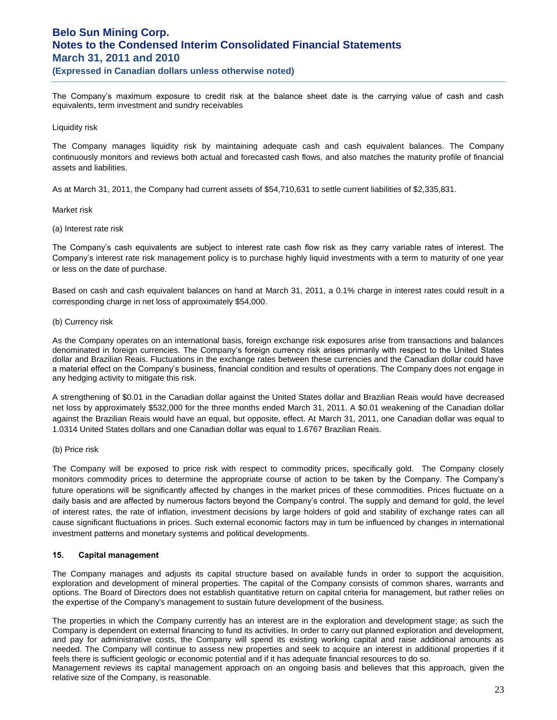**(Expressed in Canadian dollars unless otherwise noted)** 

The Company"s maximum exposure to credit risk at the balance sheet date is the carrying value of cash and cash equivalents, term investment and sundry receivables

#### Liquidity risk

The Company manages liquidity risk by maintaining adequate cash and cash equivalent balances. The Company continuously monitors and reviews both actual and forecasted cash flows, and also matches the maturity profile of financial assets and liabilities.

As at March 31, 2011, the Company had current assets of \$54,710,631 to settle current liabilities of \$2,335,831.

#### Market risk

#### (a) Interest rate risk

The Company"s cash equivalents are subject to interest rate cash flow risk as they carry variable rates of interest. The Company"s interest rate risk management policy is to purchase highly liquid investments with a term to maturity of one year or less on the date of purchase.

Based on cash and cash equivalent balances on hand at March 31, 2011, a 0.1% charge in interest rates could result in a corresponding charge in net loss of approximately \$54,000.

#### (b) Currency risk

As the Company operates on an international basis, foreign exchange risk exposures arise from transactions and balances denominated in foreign currencies. The Company"s foreign currency risk arises primarily with respect to the United States dollar and Brazilian Reais. Fluctuations in the exchange rates between these currencies and the Canadian dollar could have a material effect on the Company"s business, financial condition and results of operations. The Company does not engage in any hedging activity to mitigate this risk.

A strengthening of \$0.01 in the Canadian dollar against the United States dollar and Brazilian Reais would have decreased net loss by approximately \$532,000 for the three months ended March 31, 2011. A \$0.01 weakening of the Canadian dollar against the Brazilian Reais would have an equal, but opposite, effect. At March 31, 2011, one Canadian dollar was equal to 1.0314 United States dollars and one Canadian dollar was equal to 1.6767 Brazilian Reais.

#### (b) Price risk

The Company will be exposed to price risk with respect to commodity prices, specifically gold. The Company closely monitors commodity prices to determine the appropriate course of action to be taken by the Company. The Company"s future operations will be significantly affected by changes in the market prices of these commodities. Prices fluctuate on a daily basis and are affected by numerous factors beyond the Company's control. The supply and demand for gold, the level of interest rates, the rate of inflation, investment decisions by large holders of gold and stability of exchange rates can all cause significant fluctuations in prices. Such external economic factors may in turn be influenced by changes in international investment patterns and monetary systems and political developments.

#### **15. Capital management**

The Company manages and adjusts its capital structure based on available funds in order to support the acquisition, exploration and development of mineral properties. The capital of the Company consists of common shares, warrants and options. The Board of Directors does not establish quantitative return on capital criteria for management, but rather relies on the expertise of the Company's management to sustain future development of the business.

The properties in which the Company currently has an interest are in the exploration and development stage; as such the Company is dependent on external financing to fund its activities. In order to carry out planned exploration and development, and pay for administrative costs, the Company will spend its existing working capital and raise additional amounts as needed. The Company will continue to assess new properties and seek to acquire an interest in additional properties if it feels there is sufficient geologic or economic potential and if it has adequate financial resources to do so.

Management reviews its capital management approach on an ongoing basis and believes that this approach, given the relative size of the Company, is reasonable.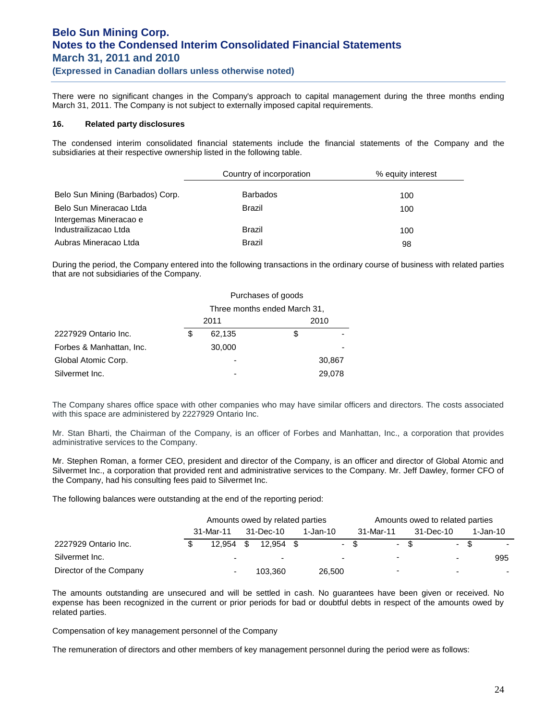#### **(Expressed in Canadian dollars unless otherwise noted)**

There were no significant changes in the Company's approach to capital management during the three months ending March 31, 2011. The Company is not subject to externally imposed capital requirements.

#### **16. Related party disclosures**

The condensed interim consolidated financial statements include the financial statements of the Company and the subsidiaries at their respective ownership listed in the following table.

|                                  | Country of incorporation | % equity interest |
|----------------------------------|--------------------------|-------------------|
| Belo Sun Mining (Barbados) Corp. | <b>Barbados</b>          | 100               |
| Belo Sun Mineracao Ltda          | Brazil                   | 100               |
| Intergemas Mineracao e           |                          |                   |
| Industrailizacao Ltda            | Brazil                   | 100               |
| Aubras Mineracao Ltda            | Brazil                   | 98                |

During the period, the Company entered into the following transactions in the ordinary course of business with related parties that are not subsidiaries of the Company.

|                          | Purchases of goods           |      |        |  |  |  |  |  |  |
|--------------------------|------------------------------|------|--------|--|--|--|--|--|--|
|                          | Three months ended March 31, |      |        |  |  |  |  |  |  |
|                          | 2011                         | 2010 |        |  |  |  |  |  |  |
| 2227929 Ontario Inc.     | \$<br>62,135                 | \$   |        |  |  |  |  |  |  |
| Forbes & Manhattan, Inc. | 30,000                       |      |        |  |  |  |  |  |  |
| Global Atomic Corp.      |                              |      | 30,867 |  |  |  |  |  |  |
| Silvermet Inc.           |                              |      | 29,078 |  |  |  |  |  |  |

The Company shares office space with other companies who may have similar officers and directors. The costs associated with this space are administered by 2227929 Ontario Inc.

Mr. Stan Bharti, the Chairman of the Company, is an officer of Forbes and Manhattan, Inc., a corporation that provides administrative services to the Company.

Mr. Stephen Roman, a former CEO, president and director of the Company, is an officer and director of Global Atomic and Silvermet Inc., a corporation that provided rent and administrative services to the Company. Mr. Jeff Dawley, former CFO of the Company, had his consulting fees paid to Silvermet Inc.

The following balances were outstanding at the end of the reporting period:

|                         | Amounts owed by related parties |    |                          |  | Amounts owed to related parties |                |                          |      |           |  |              |
|-------------------------|---------------------------------|----|--------------------------|--|---------------------------------|----------------|--------------------------|------|-----------|--|--------------|
|                         | 31-Mar-11                       |    | 31-Dec-10                |  | 1-Jan-10                        |                | 31-Mar-11                |      | 31-Dec-10 |  | $1 - Jan-10$ |
| 2227929 Ontario Inc.    | 12.954                          | S. | $12.954$ \$              |  |                                 | - SS<br>$\sim$ | $\sim$                   | - SS |           |  |              |
| Silvermet Inc.          |                                 |    | $\overline{\phantom{0}}$ |  | $\sim$                          |                | $\overline{\phantom{0}}$ |      | ۰         |  | 995          |
| Director of the Company |                                 |    | 103.360                  |  | 26,500                          |                | $\overline{\phantom{0}}$ |      |           |  |              |

The amounts outstanding are unsecured and will be settled in cash. No guarantees have been given or received. No expense has been recognized in the current or prior periods for bad or doubtful debts in respect of the amounts owed by related parties.

Compensation of key management personnel of the Company

The remuneration of directors and other members of key management personnel during the period were as follows: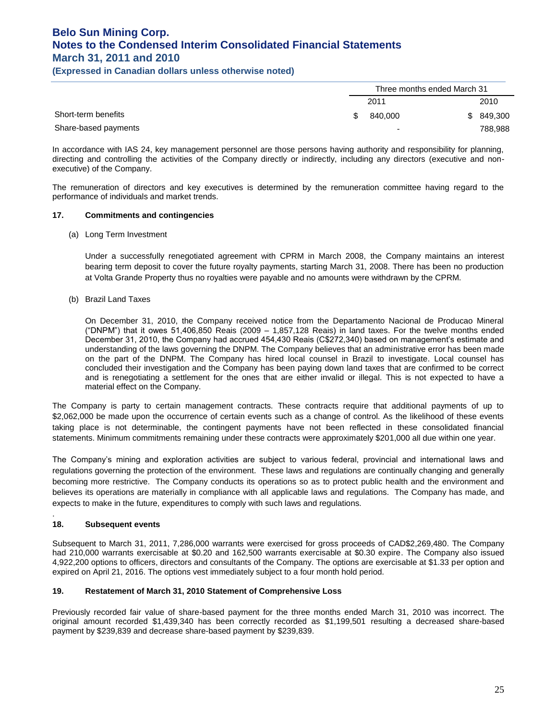**(Expressed in Canadian dollars unless otherwise noted)** 

|                      |         | Three months ended March 31 |         |  |
|----------------------|---------|-----------------------------|---------|--|
|                      | 2011    |                             | 2010    |  |
| Short-term benefits  | 840.000 | SS.                         | 849,300 |  |
| Share-based payments |         | $\overline{\phantom{0}}$    | 788,988 |  |

In accordance with IAS 24, key management personnel are those persons having authority and responsibility for planning, directing and controlling the activities of the Company directly or indirectly, including any directors (executive and nonexecutive) of the Company.

The remuneration of directors and key executives is determined by the remuneration committee having regard to the performance of individuals and market trends.

#### **17. Commitments and contingencies**

(a) Long Term Investment

Under a successfully renegotiated agreement with CPRM in March 2008, the Company maintains an interest bearing term deposit to cover the future royalty payments, starting March 31, 2008. There has been no production at Volta Grande Property thus no royalties were payable and no amounts were withdrawn by the CPRM.

(b) Brazil Land Taxes

On December 31, 2010, the Company received notice from the Departamento Nacional de Producao Mineral ("DNPM") that it owes 51,406,850 Reais (2009 – 1,857,128 Reais) in land taxes. For the twelve months ended December 31, 2010, the Company had accrued 454,430 Reais (C\$272,340) based on management's estimate and understanding of the laws governing the DNPM. The Company believes that an administrative error has been made on the part of the DNPM. The Company has hired local counsel in Brazil to investigate. Local counsel has concluded their investigation and the Company has been paying down land taxes that are confirmed to be correct and is renegotiating a settlement for the ones that are either invalid or illegal. This is not expected to have a material effect on the Company.

The Company is party to certain management contracts. These contracts require that additional payments of up to \$2,062,000 be made upon the occurrence of certain events such as a change of control. As the likelihood of these events taking place is not determinable, the contingent payments have not been reflected in these consolidated financial statements. Minimum commitments remaining under these contracts were approximately \$201,000 all due within one year.

The Company"s mining and exploration activities are subject to various federal, provincial and international laws and regulations governing the protection of the environment. These laws and regulations are continually changing and generally becoming more restrictive. The Company conducts its operations so as to protect public health and the environment and believes its operations are materially in compliance with all applicable laws and regulations. The Company has made, and expects to make in the future, expenditures to comply with such laws and regulations.

#### . **18. Subsequent events**

Subsequent to March 31, 2011, 7,286,000 warrants were exercised for gross proceeds of CAD\$2,269,480. The Company had 210,000 warrants exercisable at \$0.20 and 162,500 warrants exercisable at \$0.30 expire. The Company also issued 4,922,200 options to officers, directors and consultants of the Company. The options are exercisable at \$1.33 per option and expired on April 21, 2016. The options vest immediately subject to a four month hold period.

#### **19. Restatement of March 31, 2010 Statement of Comprehensive Loss**

Previously recorded fair value of share-based payment for the three months ended March 31, 2010 was incorrect. The original amount recorded \$1,439,340 has been correctly recorded as \$1,199,501 resulting a decreased share-based payment by \$239,839 and decrease share-based payment by \$239,839.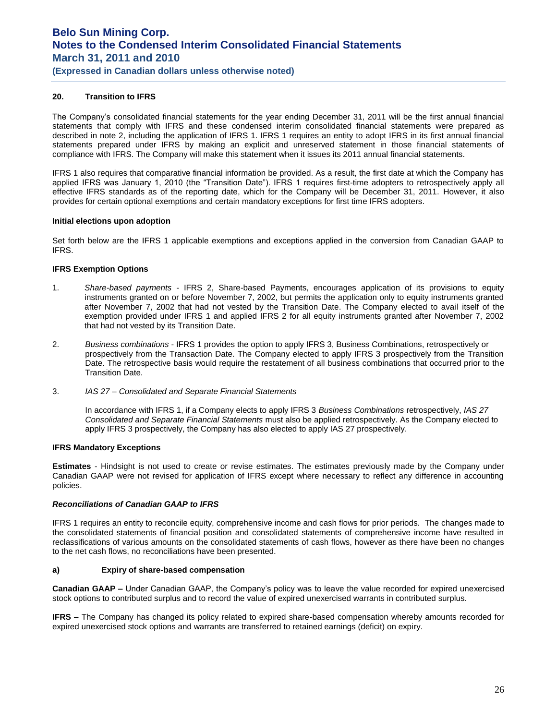#### **20. Transition to IFRS**

The Company"s consolidated financial statements for the year ending December 31, 2011 will be the first annual financial statements that comply with IFRS and these condensed interim consolidated financial statements were prepared as described in note 2, including the application of IFRS 1. IFRS 1 requires an entity to adopt IFRS in its first annual financial statements prepared under IFRS by making an explicit and unreserved statement in those financial statements of compliance with IFRS. The Company will make this statement when it issues its 2011 annual financial statements.

IFRS 1 also requires that comparative financial information be provided. As a result, the first date at which the Company has applied IFRS was January 1, 2010 (the "Transition Date"). IFRS 1 requires first-time adopters to retrospectively apply all effective IFRS standards as of the reporting date, which for the Company will be December 31, 2011. However, it also provides for certain optional exemptions and certain mandatory exceptions for first time IFRS adopters.

#### **Initial elections upon adoption**

Set forth below are the IFRS 1 applicable exemptions and exceptions applied in the conversion from Canadian GAAP to IFRS.

#### **IFRS Exemption Options**

- 1. *Share-based payments* IFRS 2, Share-based Payments, encourages application of its provisions to equity instruments granted on or before November 7, 2002, but permits the application only to equity instruments granted after November 7, 2002 that had not vested by the Transition Date. The Company elected to avail itself of the exemption provided under IFRS 1 and applied IFRS 2 for all equity instruments granted after November 7, 2002 that had not vested by its Transition Date.
- 2. *Business combinations*  IFRS 1 provides the option to apply IFRS 3, Business Combinations, retrospectively or prospectively from the Transaction Date. The Company elected to apply IFRS 3 prospectively from the Transition Date. The retrospective basis would require the restatement of all business combinations that occurred prior to the Transition Date.
- 3. *IAS 27 – Consolidated and Separate Financial Statements*

In accordance with IFRS 1, if a Company elects to apply IFRS 3 *Business Combinations* retrospectively, *IAS 27 Consolidated and Separate Financial Statements* must also be applied retrospectively. As the Company elected to apply IFRS 3 prospectively, the Company has also elected to apply IAS 27 prospectively.

#### **IFRS Mandatory Exceptions**

**Estimates** - Hindsight is not used to create or revise estimates. The estimates previously made by the Company under Canadian GAAP were not revised for application of IFRS except where necessary to reflect any difference in accounting policies.

#### *Reconciliations of Canadian GAAP to IFRS*

IFRS 1 requires an entity to reconcile equity, comprehensive income and cash flows for prior periods. The changes made to the consolidated statements of financial position and consolidated statements of comprehensive income have resulted in reclassifications of various amounts on the consolidated statements of cash flows, however as there have been no changes to the net cash flows, no reconciliations have been presented.

#### **a) Expiry of share-based compensation**

**Canadian GAAP –** Under Canadian GAAP, the Company"s policy was to leave the value recorded for expired unexercised stock options to contributed surplus and to record the value of expired unexercised warrants in contributed surplus.

**IFRS –** The Company has changed its policy related to expired share-based compensation whereby amounts recorded for expired unexercised stock options and warrants are transferred to retained earnings (deficit) on expiry.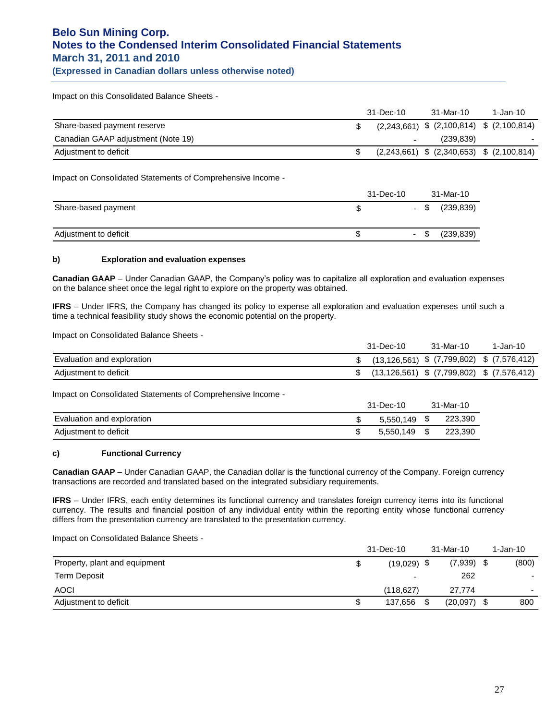**(Expressed in Canadian dollars unless otherwise noted)** 

Impact on this Consolidated Balance Sheets -

|                                    | 31-Dec-10 | 31-Mar-10                                       | 1-Jan-10                                        |
|------------------------------------|-----------|-------------------------------------------------|-------------------------------------------------|
| Share-based payment reserve        |           |                                                 | $(2,243,661)$ \$ $(2,100,814)$ \$ $(2,100,814)$ |
| Canadian GAAP adjustment (Note 19) |           | (239, 839)                                      |                                                 |
| Adjustment to deficit              |           | $(2,243,661)$ \$ $(2,340,653)$ \$ $(2,100,814)$ |                                                 |

Impact on Consolidated Statements of Comprehensive Income -

|                       | 31-Dec-10 |                    |      | 31-Mar-10  |
|-----------------------|-----------|--------------------|------|------------|
| Share-based payment   |           |                    | - \$ | (239, 839) |
| Adjustment to deficit | \$        | $\sim$ 10 $\sigma$ | -S   | (239, 839) |

#### **b) Exploration and evaluation expenses**

**Canadian GAAP** – Under Canadian GAAP, the Company's policy was to capitalize all exploration and evaluation expenses on the balance sheet once the legal right to explore on the property was obtained.

**IFRS** – Under IFRS, the Company has changed its policy to expense all exploration and evaluation expenses until such a time a technical feasibility study shows the economic potential on the property.

Impact on Consolidated Balance Sheets -

|                            | 31-Dec-10 | 31-Mar-10 | 1-Jan-10                                         |
|----------------------------|-----------|-----------|--------------------------------------------------|
| Evaluation and exploration |           |           | $$$ (13,126,561) $$$ (7,799,802) $$$ (7,576,412) |
| Adjustment to deficit      |           |           | $$$ (13,126,561) $$$ (7,799,802) $$$ (7,576,412) |

Impact on Consolidated Statements of Comprehensive Income -

|                            | 31-Dec-10      |    | 31-Mar-10 |
|----------------------------|----------------|----|-----------|
| Evaluation and exploration | $5,550,149$ \$ |    | 223,390   |
| Adjustment to deficit      | 5.550.149      | S. | 223.390   |

#### **c) Functional Currency**

**Canadian GAAP** – Under Canadian GAAP, the Canadian dollar is the functional currency of the Company. Foreign currency transactions are recorded and translated based on the integrated subsidiary requirements.

**IFRS** – Under IFRS, each entity determines its functional currency and translates foreign currency items into its functional currency. The results and financial position of any individual entity within the reporting entity whose functional currency differs from the presentation currency are translated to the presentation currency.

Impact on Consolidated Balance Sheets -

|                               | 31-Dec-10     | 31-Mar-10 | 1-Jan-10 |
|-------------------------------|---------------|-----------|----------|
| Property, plant and equipment | $(19,029)$ \$ | (7,939)   | (800)    |
| Term Deposit                  | -             | 262       |          |
| AOCI                          | (118, 627)    | 27,774    |          |
| Adjustment to deficit         | 137.656       | (20,097)  | 800      |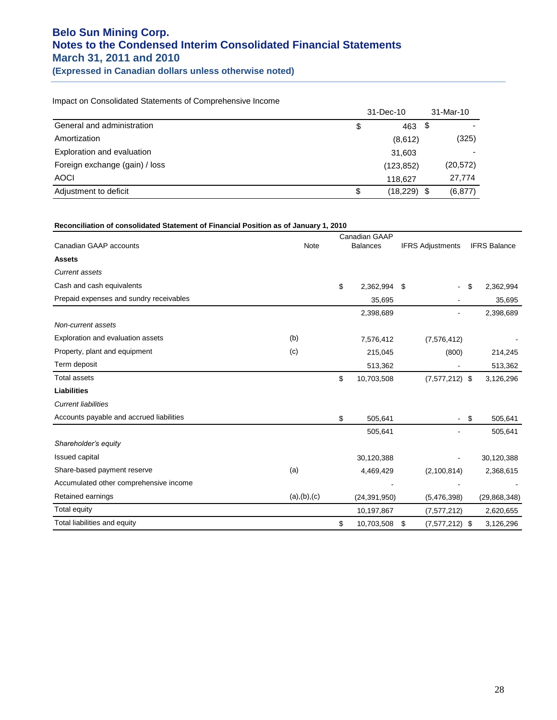**(Expressed in Canadian dollars unless otherwise noted)** 

Impact on Consolidated Statements of Comprehensive Income

|                                | 31-Dec-10       |      | 31-Mar-10 |
|--------------------------------|-----------------|------|-----------|
| General and administration     | \$<br>463       | - \$ |           |
| Amortization                   | (8,612)         |      | (325)     |
| Exploration and evaluation     | 31,603          |      |           |
| Foreign exchange (gain) / loss | (123, 852)      |      | (20, 572) |
| <b>AOCI</b>                    | 118.627         |      | 27,774    |
| Adjustment to deficit          | \$<br>(18, 229) | - \$ | (6, 877)  |

| Reconciliation of consolidated Statement of Financial Position as of January 1, 2010 |
|--------------------------------------------------------------------------------------|
|--------------------------------------------------------------------------------------|

|                                          |               | Canadian GAAP      |                         |                     |
|------------------------------------------|---------------|--------------------|-------------------------|---------------------|
| Canadian GAAP accounts                   | Note          | <b>Balances</b>    | <b>IFRS Adjustments</b> | <b>IFRS Balance</b> |
| <b>Assets</b>                            |               |                    |                         |                     |
| <b>Current assets</b>                    |               |                    |                         |                     |
| Cash and cash equivalents                |               | \$<br>2,362,994 \$ |                         | \$<br>2,362,994     |
| Prepaid expenses and sundry receivables  |               | 35,695             |                         | 35,695              |
|                                          |               | 2,398,689          |                         | 2,398,689           |
| Non-current assets                       |               |                    |                         |                     |
| Exploration and evaluation assets        | (b)           | 7,576,412          | (7,576,412)             |                     |
| Property, plant and equipment            | (c)           | 215,045            | (800)                   | 214,245             |
| Term deposit                             |               | 513,362            |                         | 513,362             |
| <b>Total assets</b>                      |               | \$<br>10,703,508   | $(7,577,212)$ \$        | 3,126,296           |
| <b>Liabilities</b>                       |               |                    |                         |                     |
| <b>Current liabilities</b>               |               |                    |                         |                     |
| Accounts payable and accrued liabilities |               | \$<br>505,641      |                         | \$<br>505,641       |
|                                          |               | 505,641            |                         | 505,641             |
| Shareholder's equity                     |               |                    |                         |                     |
| <b>Issued capital</b>                    |               | 30,120,388         |                         | 30,120,388          |
| Share-based payment reserve              | (a)           | 4,469,429          | (2, 100, 814)           | 2,368,615           |
| Accumulated other comprehensive income   |               |                    |                         |                     |
| Retained earnings                        | (a), (b), (c) | (24, 391, 950)     | (5,476,398)             | (29,868,348)        |
| Total equity                             |               | 10,197,867         | (7,577,212)             | 2,620,655           |
| Total liabilities and equity             |               | \$<br>10,703,508   | \$<br>$(7,577,212)$ \$  | 3,126,296           |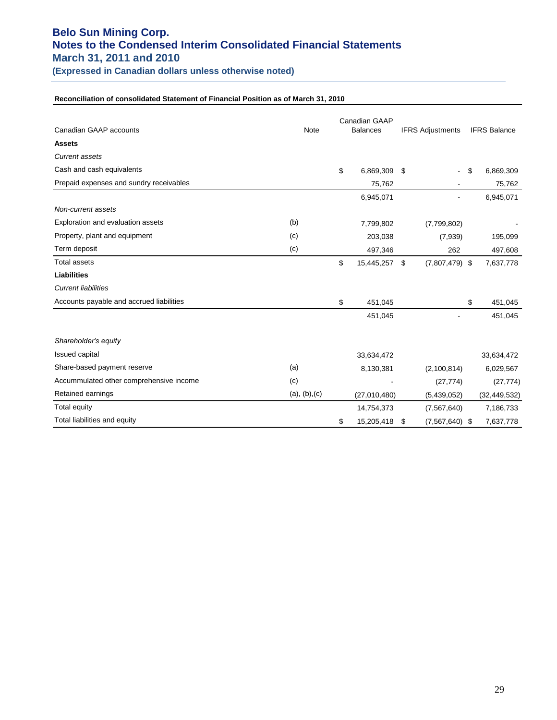**(Expressed in Canadian dollars unless otherwise noted)** 

#### **Reconciliation of consolidated Statement of Financial Position as of March 31, 2010**

|                                          |               |    | Canadian GAAP   |                         |        |                     |
|------------------------------------------|---------------|----|-----------------|-------------------------|--------|---------------------|
| Canadian GAAP accounts                   | <b>Note</b>   |    | <b>Balances</b> | <b>IFRS Adjustments</b> |        | <b>IFRS Balance</b> |
| <b>Assets</b>                            |               |    |                 |                         |        |                     |
| <b>Current assets</b>                    |               |    |                 |                         |        |                     |
| Cash and cash equivalents                |               | \$ | 6,869,309       | -\$                     | $\sim$ | \$<br>6,869,309     |
| Prepaid expenses and sundry receivables  |               |    | 75,762          |                         |        | 75,762              |
|                                          |               |    | 6,945,071       |                         |        | 6,945,071           |
| Non-current assets                       |               |    |                 |                         |        |                     |
| Exploration and evaluation assets        | (b)           |    | 7,799,802       | (7,799,802)             |        |                     |
| Property, plant and equipment            | (c)           |    | 203,038         | (7,939)                 |        | 195,099             |
| Term deposit                             | (c)           |    | 497,346         | 262                     |        | 497,608             |
| <b>Total assets</b>                      |               | \$ | 15,445,257 \$   | $(7,807,479)$ \$        |        | 7,637,778           |
| <b>Liabilities</b>                       |               |    |                 |                         |        |                     |
| <b>Current liabilities</b>               |               |    |                 |                         |        |                     |
| Accounts payable and accrued liabilities |               | \$ | 451,045         |                         |        | \$<br>451,045       |
|                                          |               |    | 451,045         |                         |        | 451,045             |
| Shareholder's equity                     |               |    |                 |                         |        |                     |
| Issued capital                           |               |    | 33,634,472      |                         |        | 33,634,472          |
| Share-based payment reserve              | (a)           |    | 8,130,381       | (2, 100, 814)           |        | 6,029,567           |
| Accummulated other comprehensive income  | (c)           |    |                 | (27, 774)               |        | (27, 774)           |
| Retained earnings                        | (a), (b), (c) |    | (27,010,480)    | (5,439,052)             |        | (32, 449, 532)      |
| Total equity                             |               |    | 14,754,373      | (7, 567, 640)           |        | 7,186,733           |
| Total liabilities and equity             |               | \$ | 15,205,418      | \$<br>$(7,567,640)$ \$  |        | 7,637,778           |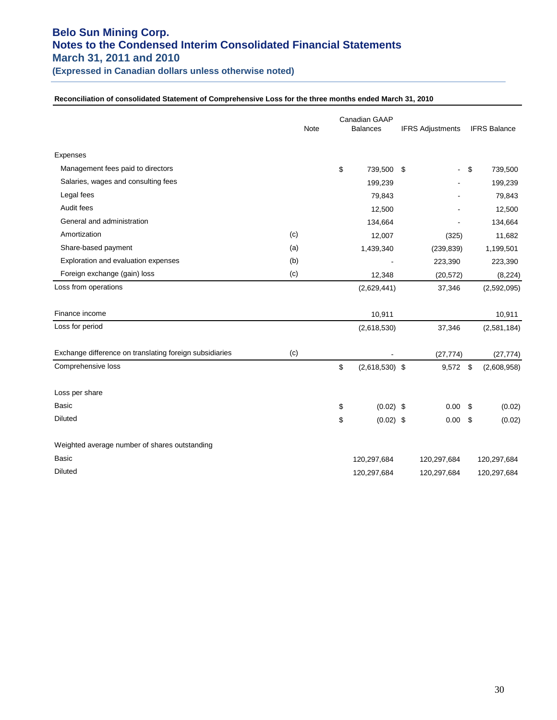**(Expressed in Canadian dollars unless otherwise noted)** 

#### **Reconciliation of consolidated Statement of Comprehensive Loss for the three months ended March 31, 2010**

|                                                         |     | Note | Canadian GAAP<br><b>Balances</b> | <b>IFRS Adjustments</b> | <b>IFRS Balance</b> |
|---------------------------------------------------------|-----|------|----------------------------------|-------------------------|---------------------|
| Expenses                                                |     |      |                                  |                         |                     |
| Management fees paid to directors                       |     |      | \$<br>739,500                    | -\$<br>$\sim$ $-$       | \$<br>739,500       |
| Salaries, wages and consulting fees                     |     |      | 199,239                          |                         | 199,239             |
| Legal fees                                              |     |      | 79,843                           |                         | 79,843              |
| Audit fees                                              |     |      | 12,500                           |                         | 12,500              |
| General and administration                              |     |      | 134,664                          |                         | 134,664             |
| Amortization                                            | (c) |      | 12,007                           | (325)                   | 11,682              |
| Share-based payment                                     | (a) |      | 1,439,340                        | (239, 839)              | 1,199,501           |
| Exploration and evaluation expenses                     | (b) |      |                                  | 223,390                 | 223,390             |
| Foreign exchange (gain) loss                            | (c) |      | 12,348                           | (20, 572)               | (8, 224)            |
| Loss from operations                                    |     |      | (2,629,441)                      | 37,346                  | (2,592,095)         |
| Finance income                                          |     |      | 10,911                           |                         | 10,911              |
| Loss for period                                         |     |      | (2,618,530)                      | 37,346                  | (2,581,184)         |
| Exchange difference on translating foreign subsidiaries | (c) |      |                                  | (27, 774)               | (27, 774)           |
| Comprehensive loss                                      |     |      | \$<br>$(2,618,530)$ \$           | $9,572$ \$              | (2,608,958)         |
| Loss per share                                          |     |      |                                  |                         |                     |
| <b>Basic</b>                                            |     |      | \$<br>$(0.02)$ \$                | 0.00                    | \$<br>(0.02)        |
| Diluted                                                 |     |      | \$<br>$(0.02)$ \$                | 0.00                    | \$<br>(0.02)        |
| Weighted average number of shares outstanding           |     |      |                                  |                         |                     |
| <b>Basic</b>                                            |     |      | 120,297,684                      | 120,297,684             | 120,297,684         |
| <b>Diluted</b>                                          |     |      | 120,297,684                      | 120,297,684             | 120,297,684         |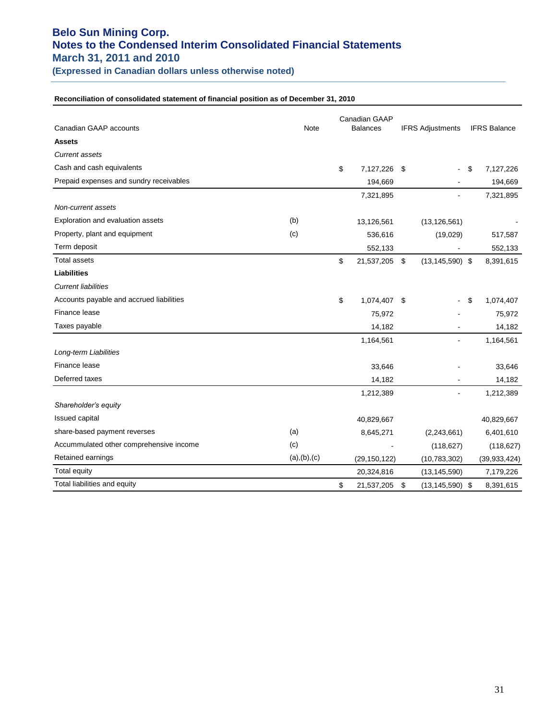**(Expressed in Canadian dollars unless otherwise noted)** 

#### **Reconciliation of consolidated statement of financial position as of December 31, 2010**

|                                          |               | Canadian GAAP      |                                           |                     |
|------------------------------------------|---------------|--------------------|-------------------------------------------|---------------------|
| Canadian GAAP accounts                   | Note          | <b>Balances</b>    | <b>IFRS Adjustments</b>                   | <b>IFRS Balance</b> |
| <b>Assets</b>                            |               |                    |                                           |                     |
| <b>Current assets</b>                    |               |                    |                                           |                     |
| Cash and cash equivalents                |               | \$<br>7,127,226    | - \$                                      | \$<br>7,127,226     |
| Prepaid expenses and sundry receivables  |               | 194,669            |                                           | 194,669             |
|                                          |               | 7,321,895          |                                           | 7,321,895           |
| Non-current assets                       |               |                    |                                           |                     |
| Exploration and evaluation assets        | (b)           | 13,126,561         | (13, 126, 561)                            |                     |
| Property, plant and equipment            | (c)           | 536,616            | (19,029)                                  | 517,587             |
| Term deposit                             |               | 552,133            |                                           | 552,133             |
| <b>Total assets</b>                      |               | \$<br>21,537,205   | $\mathbf{\hat{s}}$<br>$(13, 145, 590)$ \$ | 8,391,615           |
| <b>Liabilities</b>                       |               |                    |                                           |                     |
| <b>Current liabilities</b>               |               |                    |                                           |                     |
| Accounts payable and accrued liabilities |               | \$<br>1,074,407 \$ |                                           | \$<br>1,074,407     |
| Finance lease                            |               | 75,972             |                                           | 75,972              |
| Taxes payable                            |               | 14,182             |                                           | 14,182              |
|                                          |               | 1,164,561          |                                           | 1,164,561           |
| Long-term Liabilities                    |               |                    |                                           |                     |
| Finance lease                            |               | 33,646             |                                           | 33,646              |
| Deferred taxes                           |               | 14,182             |                                           | 14,182              |
|                                          |               | 1,212,389          |                                           | 1,212,389           |
| Shareholder's equity                     |               |                    |                                           |                     |
| Issued capital                           |               | 40,829,667         |                                           | 40,829,667          |
| share-based payment reverses             | (a)           | 8,645,271          | (2, 243, 661)                             | 6,401,610           |
| Accummulated other comprehensive income  | (c)           |                    | (118, 627)                                | (118, 627)          |
| Retained earnings                        | (a), (b), (c) | (29, 150, 122)     | (10,783,302)                              | (39, 933, 424)      |
| <b>Total equity</b>                      |               | 20,324,816         | (13, 145, 590)                            | 7,179,226           |
| Total liabilities and equity             |               | \$<br>21,537,205   | \$<br>$(13, 145, 590)$ \$                 | 8,391,615           |